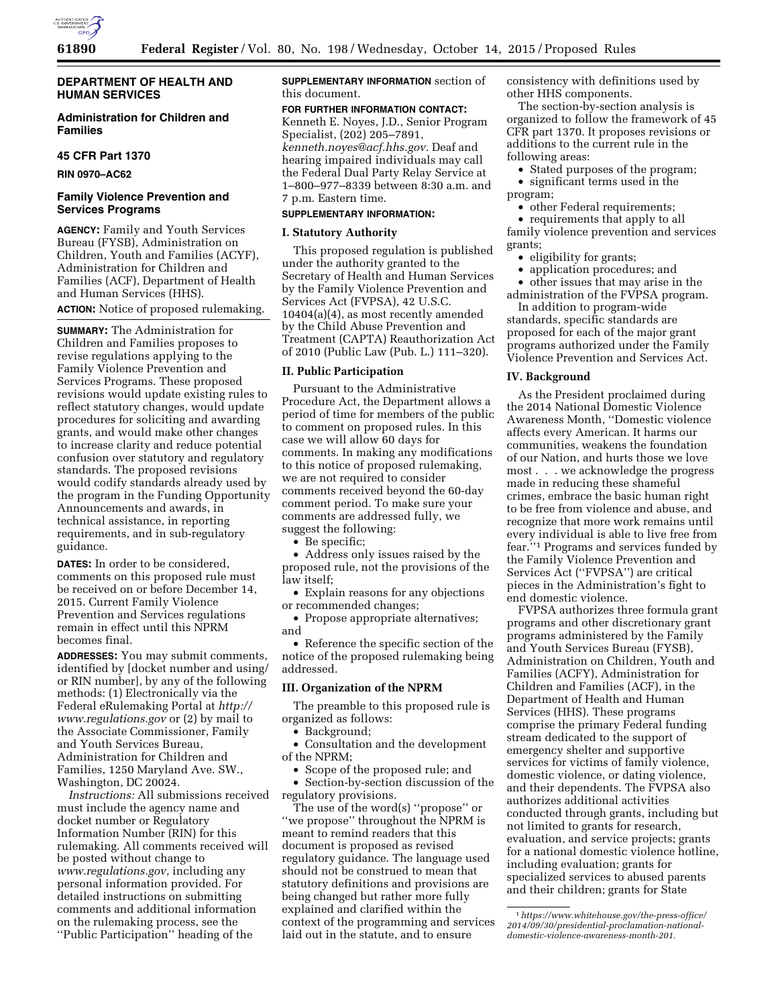

# **Administration for Children and Families**

### **45 CFR Part 1370**

**RIN 0970–AC62** 

## **Family Violence Prevention and Services Programs**

**AGENCY:** Family and Youth Services Bureau (FYSB), Administration on Children, Youth and Families (ACYF), Administration for Children and Families (ACF), Department of Health and Human Services (HHS). **ACTION:** Notice of proposed rulemaking.

**SUMMARY:** The Administration for Children and Families proposes to revise regulations applying to the Family Violence Prevention and Services Programs. These proposed revisions would update existing rules to reflect statutory changes, would update procedures for soliciting and awarding grants, and would make other changes to increase clarity and reduce potential confusion over statutory and regulatory standards. The proposed revisions would codify standards already used by the program in the Funding Opportunity Announcements and awards, in technical assistance, in reporting requirements, and in sub-regulatory guidance.

**DATES:** In order to be considered, comments on this proposed rule must be received on or before December 14, 2015. Current Family Violence Prevention and Services regulations remain in effect until this NPRM becomes final.

**ADDRESSES:** You may submit comments, identified by [docket number and using/ or RIN number], by any of the following methods: (1) Electronically via the Federal eRulemaking Portal at *[http://](http://www.regulations.gov) [www.regulations.gov](http://www.regulations.gov)* or (2) by mail to the Associate Commissioner, Family and Youth Services Bureau, Administration for Children and Families, 1250 Maryland Ave. SW., Washington, DC 20024.

*Instructions:* All submissions received must include the agency name and docket number or Regulatory Information Number (RIN) for this rulemaking. All comments received will be posted without change to *[www.regulations.gov,](http://www.regulations.gov)* including any personal information provided. For detailed instructions on submitting comments and additional information on the rulemaking process, see the ''Public Participation'' heading of the

**SUPPLEMENTARY INFORMATION** section of this document.

#### **FOR FURTHER INFORMATION CONTACT:**

Kenneth E. Noyes, J.D., Senior Program Specialist, (202) 205–7891, *[kenneth.noyes@acf.hhs.gov.](mailto:kenneth.noyes@acf.hhs.gov)* Deaf and hearing impaired individuals may call the Federal Dual Party Relay Service at 1–800–977–8339 between 8:30 a.m. and 7 p.m. Eastern time.

# **SUPPLEMENTARY INFORMATION:**

# **I. Statutory Authority**

This proposed regulation is published under the authority granted to the Secretary of Health and Human Services by the Family Violence Prevention and Services Act (FVPSA), 42 U.S.C. 10404(a)(4), as most recently amended by the Child Abuse Prevention and Treatment (CAPTA) Reauthorization Act of 2010 (Public Law (Pub. L.) 111–320).

### **II. Public Participation**

Pursuant to the Administrative Procedure Act, the Department allows a period of time for members of the public to comment on proposed rules. In this case we will allow 60 days for comments. In making any modifications to this notice of proposed rulemaking, we are not required to consider comments received beyond the 60-day comment period. To make sure your comments are addressed fully, we suggest the following:

• Be specific;

• Address only issues raised by the proposed rule, not the provisions of the law itself;

• Explain reasons for any objections or recommended changes;

• Propose appropriate alternatives; and

• Reference the specific section of the notice of the proposed rulemaking being addressed.

#### **III. Organization of the NPRM**

The preamble to this proposed rule is organized as follows:

• Background;

• Consultation and the development of the NPRM;

• Scope of the proposed rule; and

• Section-by-section discussion of the regulatory provisions.

The use of the word(s) ''propose'' or ''we propose'' throughout the NPRM is meant to remind readers that this document is proposed as revised regulatory guidance. The language used should not be construed to mean that statutory definitions and provisions are being changed but rather more fully explained and clarified within the context of the programming and services laid out in the statute, and to ensure

consistency with definitions used by other HHS components.

The section-by-section analysis is organized to follow the framework of 45 CFR part 1370. It proposes revisions or additions to the current rule in the following areas:

- Stated purposes of the program;
- significant terms used in the
- program;
	- other Federal requirements;

• requirements that apply to all family violence prevention and services grants;

- eligibility for grants;
- application procedures; and

• other issues that may arise in the administration of the FVPSA program. In addition to program-wide

standards, specific standards are proposed for each of the major grant programs authorized under the Family Violence Prevention and Services Act.

#### **IV. Background**

As the President proclaimed during the 2014 National Domestic Violence Awareness Month, ''Domestic violence affects every American. It harms our communities, weakens the foundation of our Nation, and hurts those we love most . . . we acknowledge the progress made in reducing these shameful crimes, embrace the basic human right to be free from violence and abuse, and recognize that more work remains until every individual is able to live free from fear.''1 Programs and services funded by the Family Violence Prevention and Services Act (''FVPSA'') are critical pieces in the Administration's fight to end domestic violence.

FVPSA authorizes three formula grant programs and other discretionary grant programs administered by the Family and Youth Services Bureau (FYSB), Administration on Children, Youth and Families (ACFY), Administration for Children and Families (ACF), in the Department of Health and Human Services (HHS). These programs comprise the primary Federal funding stream dedicated to the support of emergency shelter and supportive services for victims of family violence, domestic violence, or dating violence, and their dependents. The FVPSA also authorizes additional activities conducted through grants, including but not limited to grants for research, evaluation, and service projects; grants for a national domestic violence hotline, including evaluation; grants for specialized services to abused parents and their children; grants for State

<sup>1</sup>*[https://www.whitehouse.gov/the-press-office/](https://www.whitehouse.gov/the-press-office/2014/09/30/presidential-proclamation-national-domestic-violence-awareness-month-201) [2014/09/30/presidential-proclamation-national](https://www.whitehouse.gov/the-press-office/2014/09/30/presidential-proclamation-national-domestic-violence-awareness-month-201)[domestic-violence-awareness-month-201.](https://www.whitehouse.gov/the-press-office/2014/09/30/presidential-proclamation-national-domestic-violence-awareness-month-201)*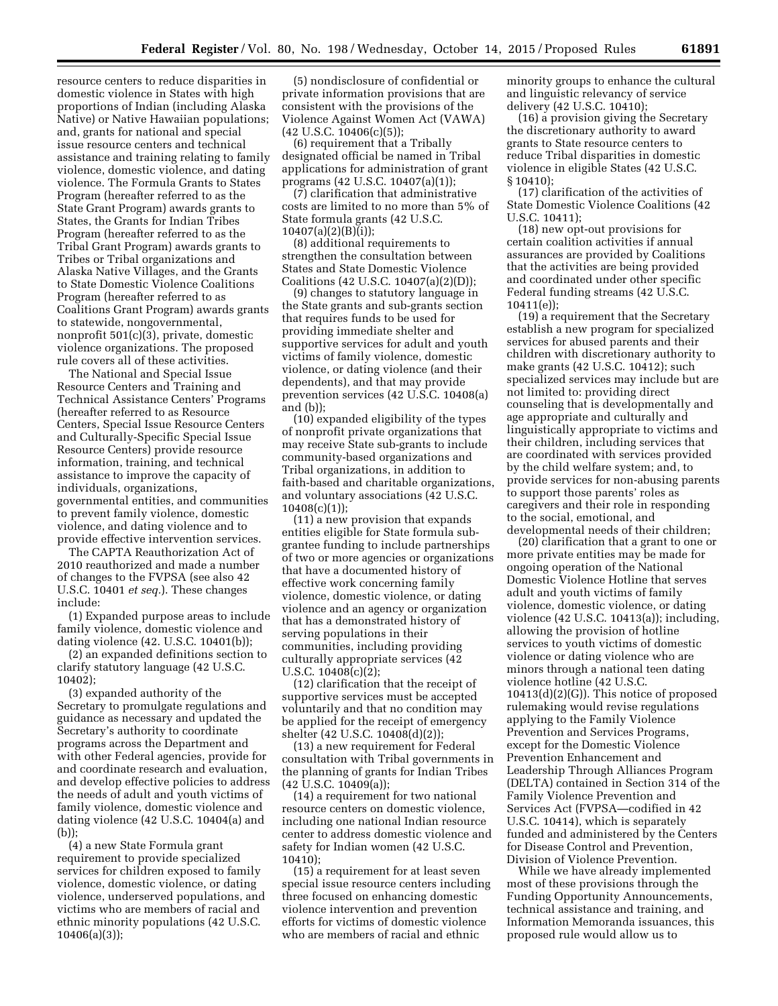resource centers to reduce disparities in domestic violence in States with high proportions of Indian (including Alaska Native) or Native Hawaiian populations; and, grants for national and special issue resource centers and technical assistance and training relating to family violence, domestic violence, and dating violence. The Formula Grants to States Program (hereafter referred to as the State Grant Program) awards grants to States, the Grants for Indian Tribes Program (hereafter referred to as the Tribal Grant Program) awards grants to Tribes or Tribal organizations and Alaska Native Villages, and the Grants to State Domestic Violence Coalitions Program (hereafter referred to as Coalitions Grant Program) awards grants to statewide, nongovernmental, nonprofit 501(c)(3), private, domestic violence organizations. The proposed rule covers all of these activities.

The National and Special Issue Resource Centers and Training and Technical Assistance Centers' Programs (hereafter referred to as Resource Centers, Special Issue Resource Centers and Culturally-Specific Special Issue Resource Centers) provide resource information, training, and technical assistance to improve the capacity of individuals, organizations, governmental entities, and communities to prevent family violence, domestic violence, and dating violence and to provide effective intervention services.

The CAPTA Reauthorization Act of 2010 reauthorized and made a number of changes to the FVPSA (see also 42 U.S.C. 10401 *et seq.*). These changes include:

(1) Expanded purpose areas to include family violence, domestic violence and dating violence (42. U.S.C. 10401(b));

(2) an expanded definitions section to clarify statutory language (42 U.S.C. 10402);

(3) expanded authority of the Secretary to promulgate regulations and guidance as necessary and updated the Secretary's authority to coordinate programs across the Department and with other Federal agencies, provide for and coordinate research and evaluation, and develop effective policies to address the needs of adult and youth victims of family violence, domestic violence and dating violence (42 U.S.C. 10404(a) and (b));

(4) a new State Formula grant requirement to provide specialized services for children exposed to family violence, domestic violence, or dating violence, underserved populations, and victims who are members of racial and ethnic minority populations (42 U.S.C. 10406(a)(3));

(5) nondisclosure of confidential or private information provisions that are consistent with the provisions of the Violence Against Women Act (VAWA) (42 U.S.C. 10406(c)(5));

(6) requirement that a Tribally designated official be named in Tribal applications for administration of grant programs (42 U.S.C. 10407(a)(1));

(7) clarification that administrative costs are limited to no more than 5% of State formula grants (42 U.S.C.  $10407(a)(2)(B)(i)$ ;

(8) additional requirements to strengthen the consultation between States and State Domestic Violence Coalitions (42 U.S.C. 10407(a)(2)(D));

(9) changes to statutory language in the State grants and sub-grants section that requires funds to be used for providing immediate shelter and supportive services for adult and youth victims of family violence, domestic violence, or dating violence (and their dependents), and that may provide prevention services (42 U.S.C. 10408(a) and (b));

(10) expanded eligibility of the types of nonprofit private organizations that may receive State sub-grants to include community-based organizations and Tribal organizations, in addition to faith-based and charitable organizations, and voluntary associations (42 U.S.C.  $10408(c)(1);$ 

(11) a new provision that expands entities eligible for State formula subgrantee funding to include partnerships of two or more agencies or organizations that have a documented history of effective work concerning family violence, domestic violence, or dating violence and an agency or organization that has a demonstrated history of serving populations in their communities, including providing culturally appropriate services (42 U.S.C. 10408(c)(2);

(12) clarification that the receipt of supportive services must be accepted voluntarily and that no condition may be applied for the receipt of emergency shelter (42 U.S.C. 10408(d)(2));

(13) a new requirement for Federal consultation with Tribal governments in the planning of grants for Indian Tribes (42 U.S.C. 10409(a));

(14) a requirement for two national resource centers on domestic violence, including one national Indian resource center to address domestic violence and safety for Indian women (42 U.S.C. 10410);

(15) a requirement for at least seven special issue resource centers including three focused on enhancing domestic violence intervention and prevention efforts for victims of domestic violence who are members of racial and ethnic

minority groups to enhance the cultural and linguistic relevancy of service delivery (42 U.S.C. 10410);

(16) a provision giving the Secretary the discretionary authority to award grants to State resource centers to reduce Tribal disparities in domestic violence in eligible States (42 U.S.C. § 10410);

(17) clarification of the activities of State Domestic Violence Coalitions (42 U.S.C. 10411);

(18) new opt-out provisions for certain coalition activities if annual assurances are provided by Coalitions that the activities are being provided and coordinated under other specific Federal funding streams (42 U.S.C. 10411(e));

(19) a requirement that the Secretary establish a new program for specialized services for abused parents and their children with discretionary authority to make grants (42 U.S.C. 10412); such specialized services may include but are not limited to: providing direct counseling that is developmentally and age appropriate and culturally and linguistically appropriate to victims and their children, including services that are coordinated with services provided by the child welfare system; and, to provide services for non-abusing parents to support those parents' roles as caregivers and their role in responding to the social, emotional, and developmental needs of their children;

(20) clarification that a grant to one or more private entities may be made for ongoing operation of the National Domestic Violence Hotline that serves adult and youth victims of family violence, domestic violence, or dating violence (42 U.S.C. 10413(a)); including, allowing the provision of hotline services to youth victims of domestic violence or dating violence who are minors through a national teen dating violence hotline (42 U.S.C.  $10413(d)(2)(G)$ . This notice of proposed rulemaking would revise regulations applying to the Family Violence Prevention and Services Programs, except for the Domestic Violence Prevention Enhancement and Leadership Through Alliances Program (DELTA) contained in Section 314 of the Family Violence Prevention and Services Act (FVPSA—codified in 42 U.S.C. 10414), which is separately funded and administered by the Centers for Disease Control and Prevention, Division of Violence Prevention.

While we have already implemented most of these provisions through the Funding Opportunity Announcements, technical assistance and training, and Information Memoranda issuances, this proposed rule would allow us to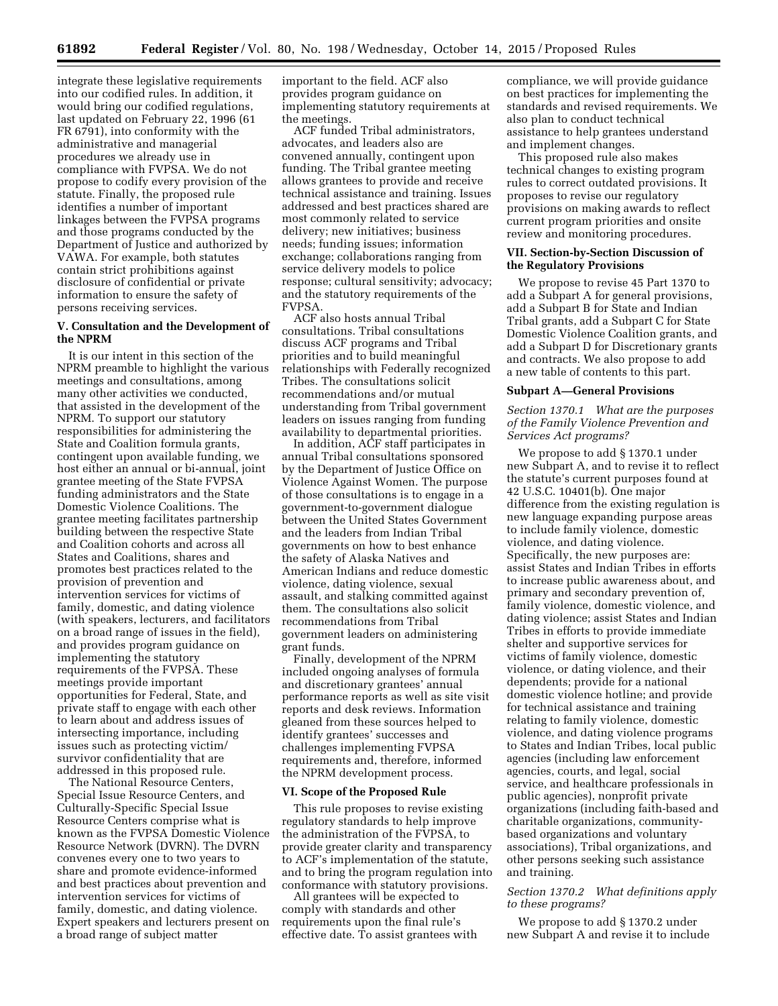integrate these legislative requirements into our codified rules. In addition, it would bring our codified regulations, last updated on February 22, 1996 (61 FR 6791), into conformity with the administrative and managerial procedures we already use in compliance with FVPSA. We do not propose to codify every provision of the statute. Finally, the proposed rule identifies a number of important linkages between the FVPSA programs and those programs conducted by the Department of Justice and authorized by VAWA. For example, both statutes contain strict prohibitions against disclosure of confidential or private information to ensure the safety of persons receiving services.

# **V. Consultation and the Development of the NPRM**

It is our intent in this section of the NPRM preamble to highlight the various meetings and consultations, among many other activities we conducted, that assisted in the development of the NPRM. To support our statutory responsibilities for administering the State and Coalition formula grants, contingent upon available funding, we host either an annual or bi-annual, joint grantee meeting of the State FVPSA funding administrators and the State Domestic Violence Coalitions. The grantee meeting facilitates partnership building between the respective State and Coalition cohorts and across all States and Coalitions, shares and promotes best practices related to the provision of prevention and intervention services for victims of family, domestic, and dating violence (with speakers, lecturers, and facilitators on a broad range of issues in the field), and provides program guidance on implementing the statutory requirements of the FVPSA. These meetings provide important opportunities for Federal, State, and private staff to engage with each other to learn about and address issues of intersecting importance, including issues such as protecting victim/ survivor confidentiality that are addressed in this proposed rule.

The National Resource Centers, Special Issue Resource Centers, and Culturally-Specific Special Issue Resource Centers comprise what is known as the FVPSA Domestic Violence Resource Network (DVRN). The DVRN convenes every one to two years to share and promote evidence-informed and best practices about prevention and intervention services for victims of family, domestic, and dating violence. Expert speakers and lecturers present on a broad range of subject matter

important to the field. ACF also provides program guidance on implementing statutory requirements at the meetings.

ACF funded Tribal administrators, advocates, and leaders also are convened annually, contingent upon funding. The Tribal grantee meeting allows grantees to provide and receive technical assistance and training. Issues addressed and best practices shared are most commonly related to service delivery; new initiatives; business needs; funding issues; information exchange; collaborations ranging from service delivery models to police response; cultural sensitivity; advocacy; and the statutory requirements of the FVPSA.

ACF also hosts annual Tribal consultations. Tribal consultations discuss ACF programs and Tribal priorities and to build meaningful relationships with Federally recognized Tribes. The consultations solicit recommendations and/or mutual understanding from Tribal government leaders on issues ranging from funding availability to departmental priorities.

In addition, ACF staff participates in annual Tribal consultations sponsored by the Department of Justice Office on Violence Against Women. The purpose of those consultations is to engage in a government-to-government dialogue between the United States Government and the leaders from Indian Tribal governments on how to best enhance the safety of Alaska Natives and American Indians and reduce domestic violence, dating violence, sexual assault, and stalking committed against them. The consultations also solicit recommendations from Tribal government leaders on administering grant funds.

Finally, development of the NPRM included ongoing analyses of formula and discretionary grantees' annual performance reports as well as site visit reports and desk reviews. Information gleaned from these sources helped to identify grantees' successes and challenges implementing FVPSA requirements and, therefore, informed the NPRM development process.

### **VI. Scope of the Proposed Rule**

This rule proposes to revise existing regulatory standards to help improve the administration of the FVPSA, to provide greater clarity and transparency to ACF's implementation of the statute, and to bring the program regulation into conformance with statutory provisions.

All grantees will be expected to comply with standards and other requirements upon the final rule's effective date. To assist grantees with compliance, we will provide guidance on best practices for implementing the standards and revised requirements. We also plan to conduct technical assistance to help grantees understand and implement changes.

This proposed rule also makes technical changes to existing program rules to correct outdated provisions. It proposes to revise our regulatory provisions on making awards to reflect current program priorities and onsite review and monitoring procedures.

# **VII. Section-by-Section Discussion of the Regulatory Provisions**

We propose to revise 45 Part 1370 to add a Subpart A for general provisions, add a Subpart B for State and Indian Tribal grants, add a Subpart C for State Domestic Violence Coalition grants, and add a Subpart D for Discretionary grants and contracts. We also propose to add a new table of contents to this part.

#### **Subpart A—General Provisions**

*Section 1370.1 What are the purposes of the Family Violence Prevention and Services Act programs?* 

We propose to add § 1370.1 under new Subpart A, and to revise it to reflect the statute's current purposes found at 42 U.S.C. 10401(b). One major difference from the existing regulation is new language expanding purpose areas to include family violence, domestic violence, and dating violence. Specifically, the new purposes are: assist States and Indian Tribes in efforts to increase public awareness about, and primary and secondary prevention of, family violence, domestic violence, and dating violence; assist States and Indian Tribes in efforts to provide immediate shelter and supportive services for victims of family violence, domestic violence, or dating violence, and their dependents; provide for a national domestic violence hotline; and provide for technical assistance and training relating to family violence, domestic violence, and dating violence programs to States and Indian Tribes, local public agencies (including law enforcement agencies, courts, and legal, social service, and healthcare professionals in public agencies), nonprofit private organizations (including faith-based and charitable organizations, communitybased organizations and voluntary associations), Tribal organizations, and other persons seeking such assistance and training.

## *Section 1370.2 What definitions apply to these programs?*

We propose to add § 1370.2 under new Subpart A and revise it to include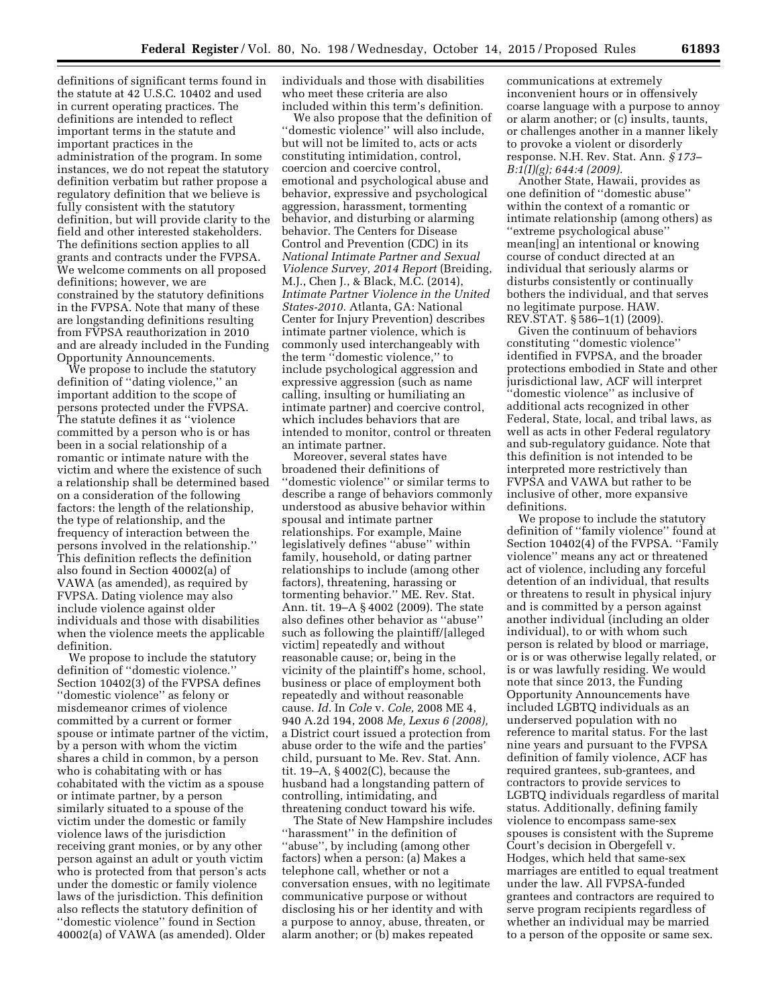definitions of significant terms found in the statute at 42 U.S.C. 10402 and used in current operating practices. The definitions are intended to reflect important terms in the statute and important practices in the administration of the program. In some instances, we do not repeat the statutory definition verbatim but rather propose a regulatory definition that we believe is fully consistent with the statutory definition, but will provide clarity to the field and other interested stakeholders. The definitions section applies to all grants and contracts under the FVPSA. We welcome comments on all proposed definitions; however, we are constrained by the statutory definitions in the FVPSA. Note that many of these are longstanding definitions resulting from FVPSA reauthorization in 2010 and are already included in the Funding Opportunity Announcements.

We propose to include the statutory definition of ''dating violence,'' an important addition to the scope of persons protected under the FVPSA. The statute defines it as ''violence committed by a person who is or has been in a social relationship of a romantic or intimate nature with the victim and where the existence of such a relationship shall be determined based on a consideration of the following factors: the length of the relationship, the type of relationship, and the frequency of interaction between the persons involved in the relationship.'' This definition reflects the definition also found in Section 40002(a) of VAWA (as amended), as required by FVPSA. Dating violence may also include violence against older individuals and those with disabilities when the violence meets the applicable definition.

We propose to include the statutory definition of ''domestic violence.'' Section 10402(3) of the FVPSA defines ''domestic violence'' as felony or misdemeanor crimes of violence committed by a current or former spouse or intimate partner of the victim, by a person with whom the victim shares a child in common, by a person who is cohabitating with or has cohabitated with the victim as a spouse or intimate partner, by a person similarly situated to a spouse of the victim under the domestic or family violence laws of the jurisdiction receiving grant monies, or by any other person against an adult or youth victim who is protected from that person's acts under the domestic or family violence laws of the jurisdiction. This definition also reflects the statutory definition of ''domestic violence'' found in Section 40002(a) of VAWA (as amended). Older

individuals and those with disabilities who meet these criteria are also included within this term's definition.

We also propose that the definition of ''domestic violence'' will also include, but will not be limited to, acts or acts constituting intimidation, control, coercion and coercive control, emotional and psychological abuse and behavior, expressive and psychological aggression, harassment, tormenting behavior, and disturbing or alarming behavior. The Centers for Disease Control and Prevention (CDC) in its *National Intimate Partner and Sexual Violence Survey, 2014 Report* (Breiding, M.J., Chen J., & Black, M.C. (2014), *Intimate Partner Violence in the United States-2010.* Atlanta, GA: National Center for Injury Prevention) describes intimate partner violence, which is commonly used interchangeably with the term ''domestic violence,'' to include psychological aggression and expressive aggression (such as name calling, insulting or humiliating an intimate partner) and coercive control, which includes behaviors that are intended to monitor, control or threaten an intimate partner.

Moreover, several states have broadened their definitions of ''domestic violence'' or similar terms to describe a range of behaviors commonly understood as abusive behavior within spousal and intimate partner relationships. For example, Maine legislatively defines ''abuse'' within family, household, or dating partner relationships to include (among other factors), threatening, harassing or tormenting behavior.'' ME. Rev. Stat. Ann. tit. 19–A § 4002 (2009). The state also defines other behavior as ''abuse'' such as following the plaintiff/[alleged victim] repeatedly and without reasonable cause; or, being in the vicinity of the plaintiff's home, school, business or place of employment both repeatedly and without reasonable cause. *Id.* In *Cole* v. *Cole,* 2008 ME 4, 940 A.2d 194, 2008 *Me, Lexus 6 (2008),*  a District court issued a protection from abuse order to the wife and the parties' child, pursuant to Me. Rev. Stat. Ann. tit. 19–A, § 4002(C), because the husband had a longstanding pattern of controlling, intimidating, and threatening conduct toward his wife.

The State of New Hampshire includes ''harassment'' in the definition of ''abuse'', by including (among other factors) when a person: (a) Makes a telephone call, whether or not a conversation ensues, with no legitimate communicative purpose or without disclosing his or her identity and with a purpose to annoy, abuse, threaten, or alarm another; or (b) makes repeated

communications at extremely inconvenient hours or in offensively coarse language with a purpose to annoy or alarm another; or (c) insults, taunts, or challenges another in a manner likely to provoke a violent or disorderly response. N.H. Rev. Stat. Ann. *§ 173– B:1(I)(g); 644:4 (2009).* 

Another State, Hawaii, provides as one definition of ''domestic abuse'' within the context of a romantic or intimate relationship (among others) as ''extreme psychological abuse'' mean[ing] an intentional or knowing course of conduct directed at an individual that seriously alarms or disturbs consistently or continually bothers the individual, and that serves no legitimate purpose. HAW. REV.STAT. § 586–1(1) (2009).

Given the continuum of behaviors constituting ''domestic violence'' identified in FVPSA, and the broader protections embodied in State and other jurisdictional law, ACF will interpret ''domestic violence'' as inclusive of additional acts recognized in other Federal, State, local, and tribal laws, as well as acts in other Federal regulatory and sub-regulatory guidance. Note that this definition is not intended to be interpreted more restrictively than FVPSA and VAWA but rather to be inclusive of other, more expansive definitions.

We propose to include the statutory definition of ''family violence'' found at Section 10402(4) of the FVPSA. ''Family violence'' means any act or threatened act of violence, including any forceful detention of an individual, that results or threatens to result in physical injury and is committed by a person against another individual (including an older individual), to or with whom such person is related by blood or marriage, or is or was otherwise legally related, or is or was lawfully residing. We would note that since 2013, the Funding Opportunity Announcements have included LGBTQ individuals as an underserved population with no reference to marital status. For the last nine years and pursuant to the FVPSA definition of family violence, ACF has required grantees, sub-grantees, and contractors to provide services to LGBTQ individuals regardless of marital status. Additionally, defining family violence to encompass same-sex spouses is consistent with the Supreme Court's decision in Obergefell v. Hodges, which held that same-sex marriages are entitled to equal treatment under the law. All FVPSA-funded grantees and contractors are required to serve program recipients regardless of whether an individual may be married to a person of the opposite or same sex.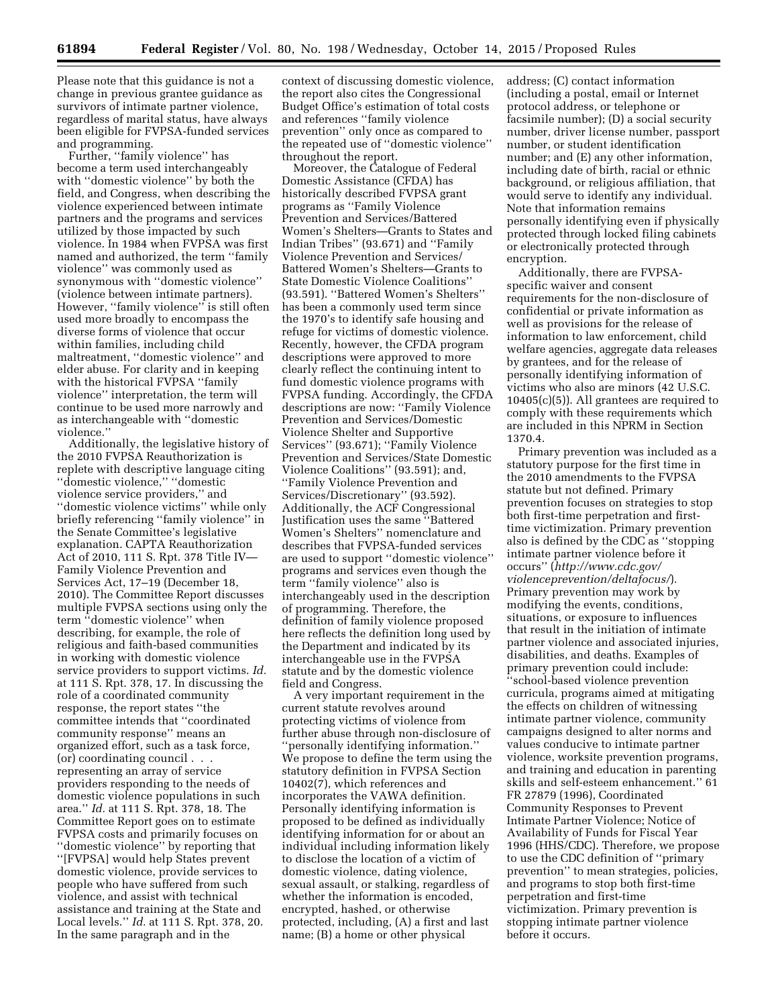Please note that this guidance is not a change in previous grantee guidance as survivors of intimate partner violence, regardless of marital status, have always been eligible for FVPSA-funded services and programming.

Further, "family violence" has become a term used interchangeably with ''domestic violence'' by both the field, and Congress, when describing the violence experienced between intimate partners and the programs and services utilized by those impacted by such violence. In 1984 when FVPSA was first named and authorized, the term ''family violence'' was commonly used as synonymous with ''domestic violence'' (violence between intimate partners). However, "family violence" is still often used more broadly to encompass the diverse forms of violence that occur within families, including child maltreatment, ''domestic violence'' and elder abuse. For clarity and in keeping with the historical FVPSA ''family violence'' interpretation, the term will continue to be used more narrowly and as interchangeable with ''domestic violence.''

Additionally, the legislative history of the 2010 FVPSA Reauthorization is replete with descriptive language citing ''domestic violence,'' ''domestic violence service providers,'' and ''domestic violence victims'' while only briefly referencing ''family violence'' in the Senate Committee's legislative explanation. CAPTA Reauthorization Act of 2010, 111 S. Rpt. 378 Title IV— Family Violence Prevention and Services Act, 17–19 (December 18, 2010). The Committee Report discusses multiple FVPSA sections using only the term ''domestic violence'' when describing, for example, the role of religious and faith-based communities in working with domestic violence service providers to support victims. *Id.*  at 111 S. Rpt. 378, 17. In discussing the role of a coordinated community response, the report states ''the committee intends that ''coordinated community response'' means an organized effort, such as a task force, (or) coordinating council . . . representing an array of service providers responding to the needs of domestic violence populations in such area.'' *Id.* at 111 S. Rpt. 378, 18. The Committee Report goes on to estimate FVPSA costs and primarily focuses on ''domestic violence'' by reporting that ''[FVPSA] would help States prevent domestic violence, provide services to people who have suffered from such violence, and assist with technical assistance and training at the State and Local levels.'' *Id.* at 111 S. Rpt. 378, 20. In the same paragraph and in the

context of discussing domestic violence, the report also cites the Congressional Budget Office's estimation of total costs and references ''family violence prevention'' only once as compared to the repeated use of ''domestic violence'' throughout the report.

Moreover, the Catalogue of Federal Domestic Assistance (CFDA) has historically described FVPSA grant programs as ''Family Violence Prevention and Services/Battered Women's Shelters—Grants to States and Indian Tribes'' (93.671) and ''Family Violence Prevention and Services/ Battered Women's Shelters—Grants to State Domestic Violence Coalitions'' (93.591). ''Battered Women's Shelters'' has been a commonly used term since the 1970's to identify safe housing and refuge for victims of domestic violence. Recently, however, the CFDA program descriptions were approved to more clearly reflect the continuing intent to fund domestic violence programs with FVPSA funding. Accordingly, the CFDA descriptions are now: ''Family Violence Prevention and Services/Domestic Violence Shelter and Supportive Services'' (93.671); ''Family Violence Prevention and Services/State Domestic Violence Coalitions'' (93.591); and, ''Family Violence Prevention and Services/Discretionary'' (93.592). Additionally, the ACF Congressional Justification uses the same ''Battered Women's Shelters'' nomenclature and describes that FVPSA-funded services are used to support ''domestic violence'' programs and services even though the term ''family violence'' also is interchangeably used in the description of programming. Therefore, the definition of family violence proposed here reflects the definition long used by the Department and indicated by its interchangeable use in the FVPSA statute and by the domestic violence field and Congress.

A very important requirement in the current statute revolves around protecting victims of violence from further abuse through non-disclosure of ''personally identifying information.'' We propose to define the term using the statutory definition in FVPSA Section 10402(7), which references and incorporates the VAWA definition. Personally identifying information is proposed to be defined as individually identifying information for or about an individual including information likely to disclose the location of a victim of domestic violence, dating violence, sexual assault, or stalking, regardless of whether the information is encoded, encrypted, hashed, or otherwise protected, including, (A) a first and last name; (B) a home or other physical

address; (C) contact information (including a postal, email or Internet protocol address, or telephone or facsimile number); (D) a social security number, driver license number, passport number, or student identification number; and (E) any other information, including date of birth, racial or ethnic background, or religious affiliation, that would serve to identify any individual. Note that information remains personally identifying even if physically protected through locked filing cabinets or electronically protected through encryption.

Additionally, there are FVPSAspecific waiver and consent requirements for the non-disclosure of confidential or private information as well as provisions for the release of information to law enforcement, child welfare agencies, aggregate data releases by grantees, and for the release of personally identifying information of victims who also are minors (42 U.S.C. 10405(c)(5)). All grantees are required to comply with these requirements which are included in this NPRM in Section 1370.4.

Primary prevention was included as a statutory purpose for the first time in the 2010 amendments to the FVPSA statute but not defined. Primary prevention focuses on strategies to stop both first-time perpetration and firsttime victimization. Primary prevention also is defined by the CDC as ''stopping intimate partner violence before it occurs'' (*[http://www.cdc.gov/](http://www.cdc.gov/violenceprevention/deltafocus/) [violenceprevention/deltafocus/](http://www.cdc.gov/violenceprevention/deltafocus/)*). Primary prevention may work by modifying the events, conditions, situations, or exposure to influences that result in the initiation of intimate partner violence and associated injuries, disabilities, and deaths. Examples of primary prevention could include: ''school-based violence prevention curricula, programs aimed at mitigating the effects on children of witnessing intimate partner violence, community campaigns designed to alter norms and values conducive to intimate partner violence, worksite prevention programs, and training and education in parenting skills and self-esteem enhancement.'' 61 FR 27879 (1996), Coordinated Community Responses to Prevent Intimate Partner Violence; Notice of Availability of Funds for Fiscal Year 1996 (HHS/CDC). Therefore, we propose to use the CDC definition of ''primary prevention'' to mean strategies, policies, and programs to stop both first-time perpetration and first-time victimization. Primary prevention is stopping intimate partner violence before it occurs.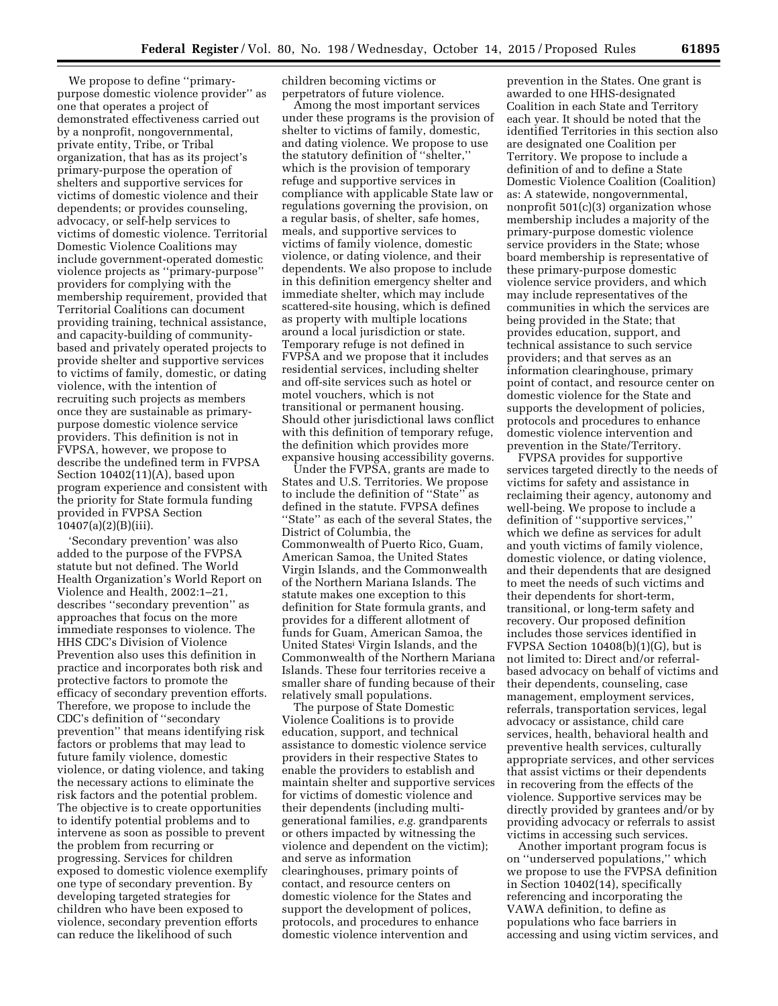We propose to define ''primarypurpose domestic violence provider'' as one that operates a project of demonstrated effectiveness carried out by a nonprofit, nongovernmental, private entity, Tribe, or Tribal organization, that has as its project's primary-purpose the operation of shelters and supportive services for victims of domestic violence and their dependents; or provides counseling, advocacy, or self-help services to victims of domestic violence. Territorial Domestic Violence Coalitions may include government-operated domestic violence projects as ''primary-purpose'' providers for complying with the membership requirement, provided that Territorial Coalitions can document providing training, technical assistance, and capacity-building of communitybased and privately operated projects to provide shelter and supportive services to victims of family, domestic, or dating violence, with the intention of recruiting such projects as members once they are sustainable as primarypurpose domestic violence service providers. This definition is not in FVPSA, however, we propose to describe the undefined term in FVPSA Section 10402(11)(A), based upon program experience and consistent with the priority for State formula funding provided in FVPSA Section 10407(a)(2)(B)(iii).

'Secondary prevention' was also added to the purpose of the FVPSA statute but not defined. The World Health Organization's World Report on Violence and Health, 2002:1–21, describes ''secondary prevention'' as approaches that focus on the more immediate responses to violence. The HHS CDC's Division of Violence Prevention also uses this definition in practice and incorporates both risk and protective factors to promote the efficacy of secondary prevention efforts. Therefore, we propose to include the CDC's definition of ''secondary prevention'' that means identifying risk factors or problems that may lead to future family violence, domestic violence, or dating violence, and taking the necessary actions to eliminate the risk factors and the potential problem. The objective is to create opportunities to identify potential problems and to intervene as soon as possible to prevent the problem from recurring or progressing. Services for children exposed to domestic violence exemplify one type of secondary prevention. By developing targeted strategies for children who have been exposed to violence, secondary prevention efforts can reduce the likelihood of such

children becoming victims or perpetrators of future violence.

Among the most important services under these programs is the provision of shelter to victims of family, domestic, and dating violence. We propose to use the statutory definition of ''shelter,'' which is the provision of temporary refuge and supportive services in compliance with applicable State law or regulations governing the provision, on a regular basis, of shelter, safe homes, meals, and supportive services to victims of family violence, domestic violence, or dating violence, and their dependents. We also propose to include in this definition emergency shelter and immediate shelter, which may include scattered-site housing, which is defined as property with multiple locations around a local jurisdiction or state. Temporary refuge is not defined in FVPSA and we propose that it includes residential services, including shelter and off-site services such as hotel or motel vouchers, which is not transitional or permanent housing. Should other jurisdictional laws conflict with this definition of temporary refuge, the definition which provides more expansive housing accessibility governs.

Under the FVPSA, grants are made to States and U.S. Territories. We propose to include the definition of ''State'' as defined in the statute. FVPSA defines ''State'' as each of the several States, the District of Columbia, the Commonwealth of Puerto Rico, Guam, American Samoa, the United States Virgin Islands, and the Commonwealth of the Northern Mariana Islands. The statute makes one exception to this definition for State formula grants, and provides for a different allotment of funds for Guam, American Samoa, the United Statesi Virgin Islands, and the Commonwealth of the Northern Mariana Islands. These four territories receive a smaller share of funding because of their relatively small populations.

The purpose of State Domestic Violence Coalitions is to provide education, support, and technical assistance to domestic violence service providers in their respective States to enable the providers to establish and maintain shelter and supportive services for victims of domestic violence and their dependents (including multigenerational families, *e.g.* grandparents or others impacted by witnessing the violence and dependent on the victim); and serve as information clearinghouses, primary points of contact, and resource centers on domestic violence for the States and support the development of polices, protocols, and procedures to enhance domestic violence intervention and

prevention in the States. One grant is awarded to one HHS-designated Coalition in each State and Territory each year. It should be noted that the identified Territories in this section also are designated one Coalition per Territory. We propose to include a definition of and to define a State Domestic Violence Coalition (Coalition) as: A statewide, nongovernmental, nonprofit 501(c)(3) organization whose membership includes a majority of the primary-purpose domestic violence service providers in the State; whose board membership is representative of these primary-purpose domestic violence service providers, and which may include representatives of the communities in which the services are being provided in the State; that provides education, support, and technical assistance to such service providers; and that serves as an information clearinghouse, primary point of contact, and resource center on domestic violence for the State and supports the development of policies, protocols and procedures to enhance domestic violence intervention and prevention in the State/Territory.

FVPSA provides for supportive services targeted directly to the needs of victims for safety and assistance in reclaiming their agency, autonomy and well-being. We propose to include a definition of ''supportive services,'' which we define as services for adult and youth victims of family violence, domestic violence, or dating violence, and their dependents that are designed to meet the needs of such victims and their dependents for short-term, transitional, or long-term safety and recovery. Our proposed definition includes those services identified in FVPSA Section 10408(b)(1)(G), but is not limited to: Direct and/or referralbased advocacy on behalf of victims and their dependents, counseling, case management, employment services, referrals, transportation services, legal advocacy or assistance, child care services, health, behavioral health and preventive health services, culturally appropriate services, and other services that assist victims or their dependents in recovering from the effects of the violence. Supportive services may be directly provided by grantees and/or by providing advocacy or referrals to assist victims in accessing such services.

Another important program focus is on ''underserved populations,'' which we propose to use the FVPSA definition in Section 10402(14), specifically referencing and incorporating the VAWA definition, to define as populations who face barriers in accessing and using victim services, and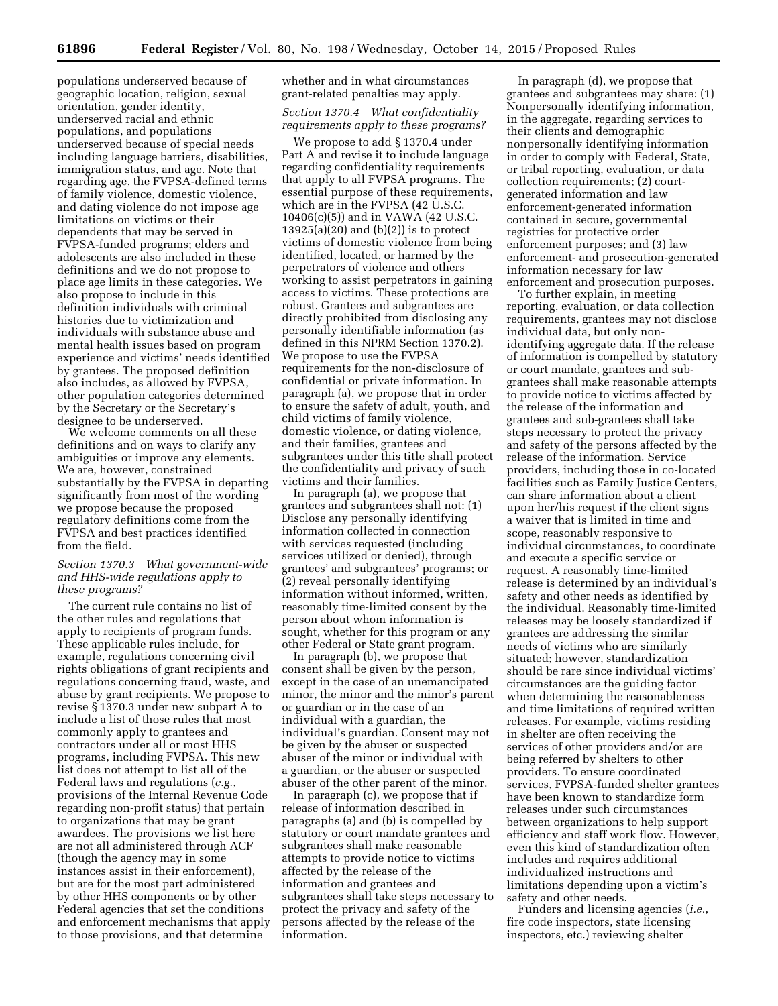**61896 Federal Register** / Vol. 80, No. 198 / Wednesday, October 14, 2015 / Proposed Rules

populations underserved because of geographic location, religion, sexual orientation, gender identity, underserved racial and ethnic populations, and populations underserved because of special needs including language barriers, disabilities, immigration status, and age. Note that regarding age, the FVPSA-defined terms of family violence, domestic violence, and dating violence do not impose age limitations on victims or their dependents that may be served in FVPSA-funded programs; elders and adolescents are also included in these definitions and we do not propose to place age limits in these categories. We also propose to include in this definition individuals with criminal histories due to victimization and individuals with substance abuse and mental health issues based on program experience and victims' needs identified by grantees. The proposed definition also includes, as allowed by FVPSA, other population categories determined by the Secretary or the Secretary's designee to be underserved.

We welcome comments on all these definitions and on ways to clarify any ambiguities or improve any elements. We are, however, constrained substantially by the FVPSA in departing significantly from most of the wording we propose because the proposed regulatory definitions come from the FVPSA and best practices identified from the field.

### *Section 1370.3 What government-wide and HHS-wide regulations apply to these programs?*

The current rule contains no list of the other rules and regulations that apply to recipients of program funds. These applicable rules include, for example, regulations concerning civil rights obligations of grant recipients and regulations concerning fraud, waste, and abuse by grant recipients. We propose to revise § 1370.3 under new subpart A to include a list of those rules that most commonly apply to grantees and contractors under all or most HHS programs, including FVPSA. This new list does not attempt to list all of the Federal laws and regulations (*e.g.*, provisions of the Internal Revenue Code regarding non-profit status) that pertain to organizations that may be grant awardees. The provisions we list here are not all administered through ACF (though the agency may in some instances assist in their enforcement), but are for the most part administered by other HHS components or by other Federal agencies that set the conditions and enforcement mechanisms that apply to those provisions, and that determine

whether and in what circumstances grant-related penalties may apply.

# *Section 1370.4 What confidentiality requirements apply to these programs?*

We propose to add § 1370.4 under Part A and revise it to include language regarding confidentiality requirements that apply to all FVPSA programs. The essential purpose of these requirements, which are in the FVPSA (42 U.S.C. 10406(c)(5)) and in VAWA (42 U.S.C.  $13925(a)(20)$  and  $(b)(2)$ ) is to protect victims of domestic violence from being identified, located, or harmed by the perpetrators of violence and others working to assist perpetrators in gaining access to victims. These protections are robust. Grantees and subgrantees are directly prohibited from disclosing any personally identifiable information (as defined in this NPRM Section 1370.2). We propose to use the FVPSA requirements for the non-disclosure of confidential or private information. In paragraph (a), we propose that in order to ensure the safety of adult, youth, and child victims of family violence, domestic violence, or dating violence, and their families, grantees and subgrantees under this title shall protect the confidentiality and privacy of such victims and their families.

In paragraph (a), we propose that grantees and subgrantees shall not: (1) Disclose any personally identifying information collected in connection with services requested (including services utilized or denied), through grantees' and subgrantees' programs; or (2) reveal personally identifying information without informed, written, reasonably time-limited consent by the person about whom information is sought, whether for this program or any other Federal or State grant program.

In paragraph (b), we propose that consent shall be given by the person, except in the case of an unemancipated minor, the minor and the minor's parent or guardian or in the case of an individual with a guardian, the individual's guardian. Consent may not be given by the abuser or suspected abuser of the minor or individual with a guardian, or the abuser or suspected abuser of the other parent of the minor.

In paragraph (c), we propose that if release of information described in paragraphs (a) and (b) is compelled by statutory or court mandate grantees and subgrantees shall make reasonable attempts to provide notice to victims affected by the release of the information and grantees and subgrantees shall take steps necessary to protect the privacy and safety of the persons affected by the release of the information.

In paragraph (d), we propose that grantees and subgrantees may share: (1) Nonpersonally identifying information, in the aggregate, regarding services to their clients and demographic nonpersonally identifying information in order to comply with Federal, State, or tribal reporting, evaluation, or data collection requirements; (2) courtgenerated information and law enforcement-generated information contained in secure, governmental registries for protective order enforcement purposes; and (3) law enforcement- and prosecution-generated information necessary for law enforcement and prosecution purposes.

To further explain, in meeting reporting, evaluation, or data collection requirements, grantees may not disclose individual data, but only nonidentifying aggregate data. If the release of information is compelled by statutory or court mandate, grantees and subgrantees shall make reasonable attempts to provide notice to victims affected by the release of the information and grantees and sub-grantees shall take steps necessary to protect the privacy and safety of the persons affected by the release of the information. Service providers, including those in co-located facilities such as Family Justice Centers, can share information about a client upon her/his request if the client signs a waiver that is limited in time and scope, reasonably responsive to individual circumstances, to coordinate and execute a specific service or request. A reasonably time-limited release is determined by an individual's safety and other needs as identified by the individual. Reasonably time-limited releases may be loosely standardized if grantees are addressing the similar needs of victims who are similarly situated; however, standardization should be rare since individual victims' circumstances are the guiding factor when determining the reasonableness and time limitations of required written releases. For example, victims residing in shelter are often receiving the services of other providers and/or are being referred by shelters to other providers. To ensure coordinated services, FVPSA-funded shelter grantees have been known to standardize form releases under such circumstances between organizations to help support efficiency and staff work flow. However, even this kind of standardization often includes and requires additional individualized instructions and limitations depending upon a victim's safety and other needs.

Funders and licensing agencies (*i.e.*, fire code inspectors, state licensing inspectors, etc.) reviewing shelter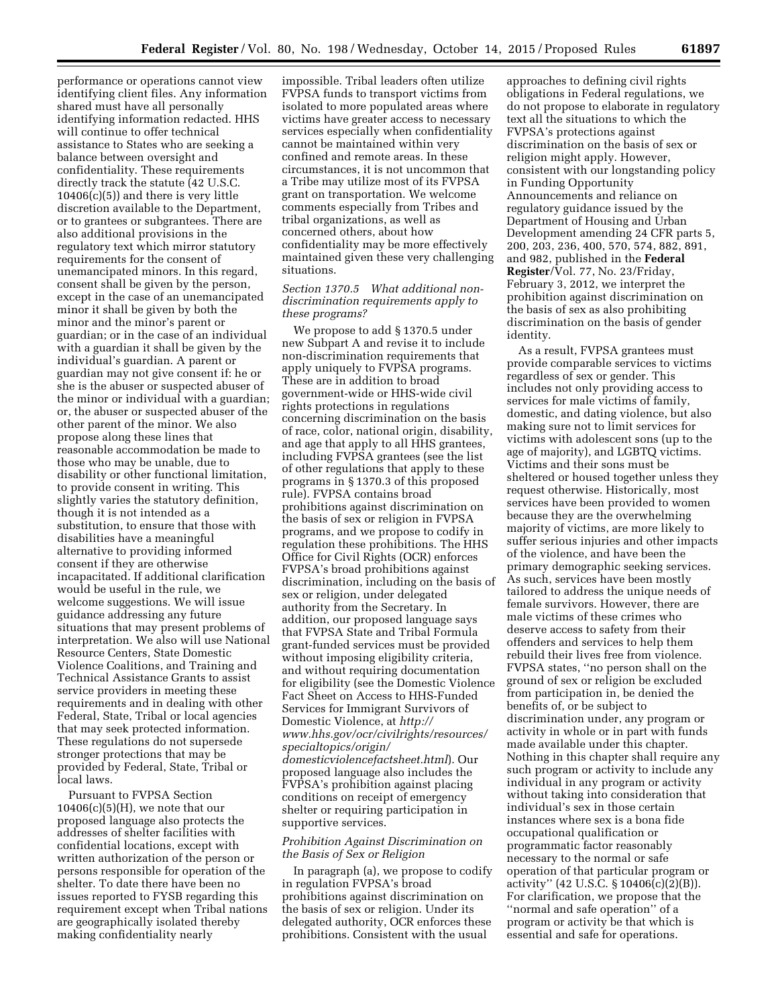performance or operations cannot view identifying client files. Any information shared must have all personally identifying information redacted. HHS will continue to offer technical assistance to States who are seeking a balance between oversight and confidentiality. These requirements directly track the statute (42 U.S.C.  $10406(c)(5)$ ) and there is very little discretion available to the Department, or to grantees or subgrantees. There are also additional provisions in the regulatory text which mirror statutory requirements for the consent of unemancipated minors. In this regard, consent shall be given by the person, except in the case of an unemancipated minor it shall be given by both the minor and the minor's parent or guardian; or in the case of an individual with a guardian it shall be given by the individual's guardian. A parent or guardian may not give consent if: he or she is the abuser or suspected abuser of the minor or individual with a guardian; or, the abuser or suspected abuser of the other parent of the minor. We also propose along these lines that reasonable accommodation be made to those who may be unable, due to disability or other functional limitation, to provide consent in writing. This slightly varies the statutory definition, though it is not intended as a substitution, to ensure that those with disabilities have a meaningful alternative to providing informed consent if they are otherwise incapacitated. If additional clarification would be useful in the rule, we welcome suggestions. We will issue guidance addressing any future situations that may present problems of interpretation. We also will use National Resource Centers, State Domestic Violence Coalitions, and Training and Technical Assistance Grants to assist service providers in meeting these requirements and in dealing with other Federal, State, Tribal or local agencies that may seek protected information. These regulations do not supersede stronger protections that may be provided by Federal, State, Tribal or local laws.

Pursuant to FVPSA Section  $10406(c)(5)(H)$ , we note that our proposed language also protects the addresses of shelter facilities with confidential locations, except with written authorization of the person or persons responsible for operation of the shelter. To date there have been no issues reported to FYSB regarding this requirement except when Tribal nations are geographically isolated thereby making confidentiality nearly

impossible. Tribal leaders often utilize FVPSA funds to transport victims from isolated to more populated areas where victims have greater access to necessary services especially when confidentiality cannot be maintained within very confined and remote areas. In these circumstances, it is not uncommon that a Tribe may utilize most of its FVPSA grant on transportation. We welcome comments especially from Tribes and tribal organizations, as well as concerned others, about how confidentiality may be more effectively maintained given these very challenging situations.

## *Section 1370.5 What additional nondiscrimination requirements apply to these programs?*

We propose to add § 1370.5 under new Subpart A and revise it to include non-discrimination requirements that apply uniquely to FVPSA programs. These are in addition to broad government-wide or HHS-wide civil rights protections in regulations concerning discrimination on the basis of race, color, national origin, disability, and age that apply to all HHS grantees, including FVPSA grantees (see the list of other regulations that apply to these programs in § 1370.3 of this proposed rule). FVPSA contains broad prohibitions against discrimination on the basis of sex or religion in FVPSA programs, and we propose to codify in regulation these prohibitions. The HHS Office for Civil Rights (OCR) enforces FVPSA's broad prohibitions against discrimination, including on the basis of sex or religion, under delegated authority from the Secretary. In addition, our proposed language says that FVPSA State and Tribal Formula grant-funded services must be provided without imposing eligibility criteria, and without requiring documentation for eligibility (see the Domestic Violence Fact Sheet on Access to HHS-Funded Services for Immigrant Survivors of Domestic Violence, at *[http://](http://www.hhs.gov/ocr/civilrights/resources/specialtopics/origin/domesticviolencefactsheet.html) [www.hhs.gov/ocr/civilrights/resources/](http://www.hhs.gov/ocr/civilrights/resources/specialtopics/origin/domesticviolencefactsheet.html) [specialtopics/origin/](http://www.hhs.gov/ocr/civilrights/resources/specialtopics/origin/domesticviolencefactsheet.html) [domesticviolencefactsheet.html](http://www.hhs.gov/ocr/civilrights/resources/specialtopics/origin/domesticviolencefactsheet.html)*). Our proposed language also includes the FVPSA's prohibition against placing conditions on receipt of emergency shelter or requiring participation in supportive services.

#### *Prohibition Against Discrimination on the Basis of Sex or Religion*

In paragraph (a), we propose to codify in regulation FVPSA's broad prohibitions against discrimination on the basis of sex or religion. Under its delegated authority, OCR enforces these prohibitions. Consistent with the usual

approaches to defining civil rights obligations in Federal regulations, we do not propose to elaborate in regulatory text all the situations to which the FVPSA's protections against discrimination on the basis of sex or religion might apply. However, consistent with our longstanding policy in Funding Opportunity Announcements and reliance on regulatory guidance issued by the Department of Housing and Urban Development amending 24 CFR parts 5, 200, 203, 236, 400, 570, 574, 882, 891, and 982, published in the **Federal Register**/Vol. 77, No. 23/Friday, February 3, 2012, we interpret the prohibition against discrimination on the basis of sex as also prohibiting discrimination on the basis of gender identity.

As a result, FVPSA grantees must provide comparable services to victims regardless of sex or gender. This includes not only providing access to services for male victims of family, domestic, and dating violence, but also making sure not to limit services for victims with adolescent sons (up to the age of majority), and LGBTQ victims. Victims and their sons must be sheltered or housed together unless they request otherwise. Historically, most services have been provided to women because they are the overwhelming majority of victims, are more likely to suffer serious injuries and other impacts of the violence, and have been the primary demographic seeking services. As such, services have been mostly tailored to address the unique needs of female survivors. However, there are male victims of these crimes who deserve access to safety from their offenders and services to help them rebuild their lives free from violence. FVPSA states, ''no person shall on the ground of sex or religion be excluded from participation in, be denied the benefits of, or be subject to discrimination under, any program or activity in whole or in part with funds made available under this chapter. Nothing in this chapter shall require any such program or activity to include any individual in any program or activity without taking into consideration that individual's sex in those certain instances where sex is a bona fide occupational qualification or programmatic factor reasonably necessary to the normal or safe operation of that particular program or activity'' (42 U.S.C. § 10406(c)(2)(B)). For clarification, we propose that the ''normal and safe operation'' of a program or activity be that which is essential and safe for operations.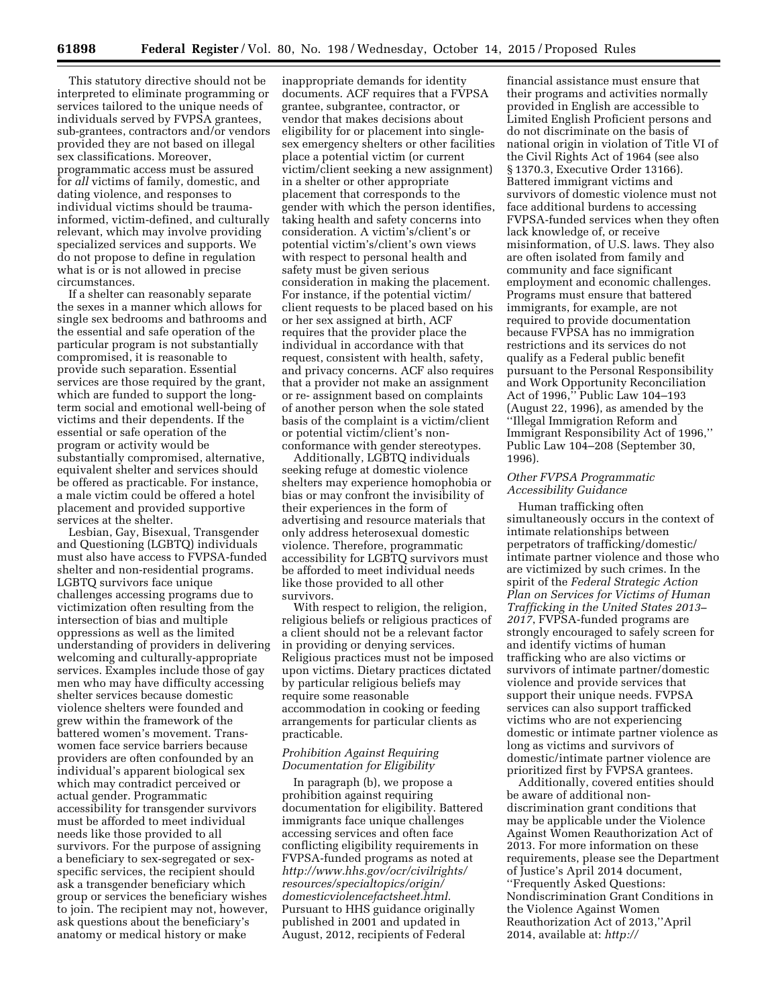This statutory directive should not be interpreted to eliminate programming or services tailored to the unique needs of individuals served by FVPSA grantees, sub-grantees, contractors and/or vendors provided they are not based on illegal sex classifications. Moreover, programmatic access must be assured for *all* victims of family, domestic, and dating violence, and responses to individual victims should be traumainformed, victim-defined, and culturally relevant, which may involve providing specialized services and supports. We do not propose to define in regulation what is or is not allowed in precise circumstances.

If a shelter can reasonably separate the sexes in a manner which allows for single sex bedrooms and bathrooms and the essential and safe operation of the particular program is not substantially compromised, it is reasonable to provide such separation. Essential services are those required by the grant, which are funded to support the longterm social and emotional well-being of victims and their dependents. If the essential or safe operation of the program or activity would be substantially compromised, alternative, equivalent shelter and services should be offered as practicable. For instance, a male victim could be offered a hotel placement and provided supportive services at the shelter.

Lesbian, Gay, Bisexual, Transgender and Questioning (LGBTQ) individuals must also have access to FVPSA-funded shelter and non-residential programs. LGBTQ survivors face unique challenges accessing programs due to victimization often resulting from the intersection of bias and multiple oppressions as well as the limited understanding of providers in delivering welcoming and culturally-appropriate services. Examples include those of gay men who may have difficulty accessing shelter services because domestic violence shelters were founded and grew within the framework of the battered women's movement. Transwomen face service barriers because providers are often confounded by an individual's apparent biological sex which may contradict perceived or actual gender. Programmatic accessibility for transgender survivors must be afforded to meet individual needs like those provided to all survivors. For the purpose of assigning a beneficiary to sex-segregated or sexspecific services, the recipient should ask a transgender beneficiary which group or services the beneficiary wishes to join. The recipient may not, however, ask questions about the beneficiary's anatomy or medical history or make

inappropriate demands for identity documents. ACF requires that a FVPSA grantee, subgrantee, contractor, or vendor that makes decisions about eligibility for or placement into singlesex emergency shelters or other facilities place a potential victim (or current victim/client seeking a new assignment) in a shelter or other appropriate placement that corresponds to the gender with which the person identifies, taking health and safety concerns into consideration. A victim's/client's or potential victim's/client's own views with respect to personal health and safety must be given serious consideration in making the placement. For instance, if the potential victim/ client requests to be placed based on his or her sex assigned at birth, ACF requires that the provider place the individual in accordance with that request, consistent with health, safety, and privacy concerns. ACF also requires that a provider not make an assignment or re- assignment based on complaints of another person when the sole stated basis of the complaint is a victim/client or potential victim/client's nonconformance with gender stereotypes.

Additionally, LGBTQ individuals seeking refuge at domestic violence shelters may experience homophobia or bias or may confront the invisibility of their experiences in the form of advertising and resource materials that only address heterosexual domestic violence. Therefore, programmatic accessibility for LGBTQ survivors must be afforded to meet individual needs like those provided to all other survivors.

With respect to religion, the religion, religious beliefs or religious practices of a client should not be a relevant factor in providing or denying services. Religious practices must not be imposed upon victims. Dietary practices dictated by particular religious beliefs may require some reasonable accommodation in cooking or feeding arrangements for particular clients as practicable.

## *Prohibition Against Requiring Documentation for Eligibility*

In paragraph (b), we propose a prohibition against requiring documentation for eligibility. Battered immigrants face unique challenges accessing services and often face conflicting eligibility requirements in FVPSA-funded programs as noted at *[http://www.hhs.gov/ocr/civilrights/](http://www.hhs.gov/ocr/civilrights/resources/specialtopics/origin/domesticviolencefactsheet.html) [resources/specialtopics/origin/](http://www.hhs.gov/ocr/civilrights/resources/specialtopics/origin/domesticviolencefactsheet.html) [domesticviolencefactsheet.html.](http://www.hhs.gov/ocr/civilrights/resources/specialtopics/origin/domesticviolencefactsheet.html)*  Pursuant to HHS guidance originally published in 2001 and updated in August, 2012, recipients of Federal

financial assistance must ensure that their programs and activities normally provided in English are accessible to Limited English Proficient persons and do not discriminate on the basis of national origin in violation of Title VI of the Civil Rights Act of 1964 (see also § 1370.3, Executive Order 13166). Battered immigrant victims and survivors of domestic violence must not face additional burdens to accessing FVPSA-funded services when they often lack knowledge of, or receive misinformation, of U.S. laws. They also are often isolated from family and community and face significant employment and economic challenges. Programs must ensure that battered immigrants, for example, are not required to provide documentation because FVPSA has no immigration restrictions and its services do not qualify as a Federal public benefit pursuant to the Personal Responsibility and Work Opportunity Reconciliation Act of 1996,'' Public Law 104–193 (August 22, 1996), as amended by the ''Illegal Immigration Reform and Immigrant Responsibility Act of 1996,'' Public Law 104–208 (September 30, 1996).

# *Other FVPSA Programmatic Accessibility Guidance*

Human trafficking often simultaneously occurs in the context of intimate relationships between perpetrators of trafficking/domestic/ intimate partner violence and those who are victimized by such crimes. In the spirit of the *Federal Strategic Action Plan on Services for Victims of Human Trafficking in the United States 2013– 2017*, FVPSA-funded programs are strongly encouraged to safely screen for and identify victims of human trafficking who are also victims or survivors of intimate partner/domestic violence and provide services that support their unique needs. FVPSA services can also support trafficked victims who are not experiencing domestic or intimate partner violence as long as victims and survivors of domestic/intimate partner violence are prioritized first by FVPSA grantees.

Additionally, covered entities should be aware of additional nondiscrimination grant conditions that may be applicable under the Violence Against Women Reauthorization Act of 2013. For more information on these requirements, please see the Department of Justice's April 2014 document, ''Frequently Asked Questions: Nondiscrimination Grant Conditions in the Violence Against Women Reauthorization Act of 2013,''April 2014, available at: *[http://](http://www.hhs.gov/ocr/civilrights/resources/specialtopics/lep/index.html)*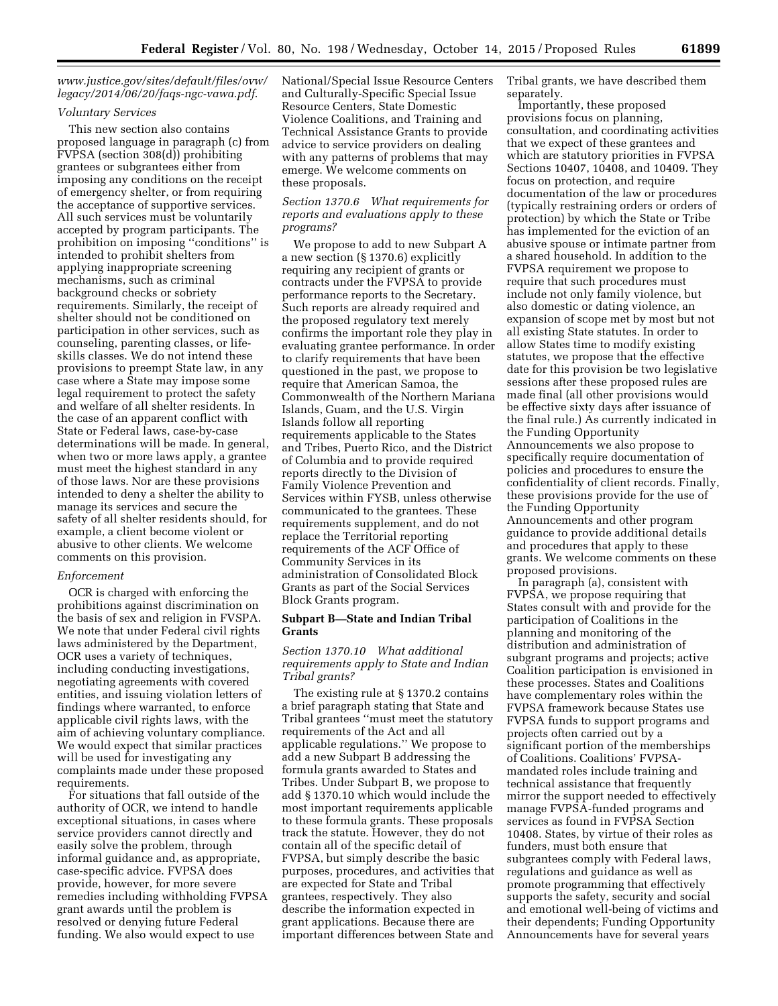*[www.justice.gov/sites/default/files/ovw/](http:http://www.hhs.gov/ocr/civilrights/resources/specialtopics/lep/index.html) [legacy/2014/06/20/faqs-ngc-vawa.pdf](http://www.hhs.gov/ocr/civilrights/resources/specialtopics/lep/index.html)*.

#### *Voluntary Services*

This new section also contains proposed language in paragraph (c) from FVPSA (section 308(d)) prohibiting grantees or subgrantees either from imposing any conditions on the receipt of emergency shelter, or from requiring the acceptance of supportive services. All such services must be voluntarily accepted by program participants. The prohibition on imposing ''conditions'' is intended to prohibit shelters from applying inappropriate screening mechanisms, such as criminal background checks or sobriety requirements. Similarly, the receipt of shelter should not be conditioned on participation in other services, such as counseling, parenting classes, or lifeskills classes. We do not intend these provisions to preempt State law, in any case where a State may impose some legal requirement to protect the safety and welfare of all shelter residents. In the case of an apparent conflict with State or Federal laws, case-by-case determinations will be made. In general, when two or more laws apply, a grantee must meet the highest standard in any of those laws. Nor are these provisions intended to deny a shelter the ability to manage its services and secure the safety of all shelter residents should, for example, a client become violent or abusive to other clients. We welcome comments on this provision.

#### *Enforcement*

OCR is charged with enforcing the prohibitions against discrimination on the basis of sex and religion in FVSPA. We note that under Federal civil rights laws administered by the Department, OCR uses a variety of techniques, including conducting investigations, negotiating agreements with covered entities, and issuing violation letters of findings where warranted, to enforce applicable civil rights laws, with the aim of achieving voluntary compliance. We would expect that similar practices will be used for investigating any complaints made under these proposed requirements.

For situations that fall outside of the authority of OCR, we intend to handle exceptional situations, in cases where service providers cannot directly and easily solve the problem, through informal guidance and, as appropriate, case-specific advice. FVPSA does provide, however, for more severe remedies including withholding FVPSA grant awards until the problem is resolved or denying future Federal funding. We also would expect to use

National/Special Issue Resource Centers and Culturally-Specific Special Issue Resource Centers, State Domestic Violence Coalitions, and Training and Technical Assistance Grants to provide advice to service providers on dealing with any patterns of problems that may emerge. We welcome comments on these proposals.

# *Section 1370.6 What requirements for reports and evaluations apply to these programs?*

We propose to add to new Subpart A a new section (§ 1370.6) explicitly requiring any recipient of grants or contracts under the FVPSA to provide performance reports to the Secretary. Such reports are already required and the proposed regulatory text merely confirms the important role they play in evaluating grantee performance. In order to clarify requirements that have been questioned in the past, we propose to require that American Samoa, the Commonwealth of the Northern Mariana Islands, Guam, and the U.S. Virgin Islands follow all reporting requirements applicable to the States and Tribes, Puerto Rico, and the District of Columbia and to provide required reports directly to the Division of Family Violence Prevention and Services within FYSB, unless otherwise communicated to the grantees. These requirements supplement, and do not replace the Territorial reporting requirements of the ACF Office of Community Services in its administration of Consolidated Block Grants as part of the Social Services Block Grants program.

### **Subpart B—State and Indian Tribal Grants**

# *Section 1370.10 What additional requirements apply to State and Indian Tribal grants?*

The existing rule at § 1370.2 contains a brief paragraph stating that State and Tribal grantees ''must meet the statutory requirements of the Act and all applicable regulations.'' We propose to add a new Subpart B addressing the formula grants awarded to States and Tribes. Under Subpart B, we propose to add § 1370.10 which would include the most important requirements applicable to these formula grants. These proposals track the statute. However, they do not contain all of the specific detail of FVPSA, but simply describe the basic purposes, procedures, and activities that are expected for State and Tribal grantees, respectively. They also describe the information expected in grant applications. Because there are important differences between State and

Tribal grants, we have described them separately.

Importantly, these proposed provisions focus on planning, consultation, and coordinating activities that we expect of these grantees and which are statutory priorities in FVPSA Sections 10407, 10408, and 10409. They focus on protection, and require documentation of the law or procedures (typically restraining orders or orders of protection) by which the State or Tribe has implemented for the eviction of an abusive spouse or intimate partner from a shared household. In addition to the FVPSA requirement we propose to require that such procedures must include not only family violence, but also domestic or dating violence, an expansion of scope met by most but not all existing State statutes. In order to allow States time to modify existing statutes, we propose that the effective date for this provision be two legislative sessions after these proposed rules are made final (all other provisions would be effective sixty days after issuance of the final rule.) As currently indicated in the Funding Opportunity Announcements we also propose to specifically require documentation of policies and procedures to ensure the confidentiality of client records. Finally, these provisions provide for the use of the Funding Opportunity Announcements and other program guidance to provide additional details and procedures that apply to these grants. We welcome comments on these proposed provisions.

In paragraph (a), consistent with FVPSA, we propose requiring that States consult with and provide for the participation of Coalitions in the planning and monitoring of the distribution and administration of subgrant programs and projects; active Coalition participation is envisioned in these processes. States and Coalitions have complementary roles within the FVPSA framework because States use FVPSA funds to support programs and projects often carried out by a significant portion of the memberships of Coalitions. Coalitions' FVPSAmandated roles include training and technical assistance that frequently mirror the support needed to effectively manage FVPSA-funded programs and services as found in FVPSA Section 10408. States, by virtue of their roles as funders, must both ensure that subgrantees comply with Federal laws, regulations and guidance as well as promote programming that effectively supports the safety, security and social and emotional well-being of victims and their dependents; Funding Opportunity Announcements have for several years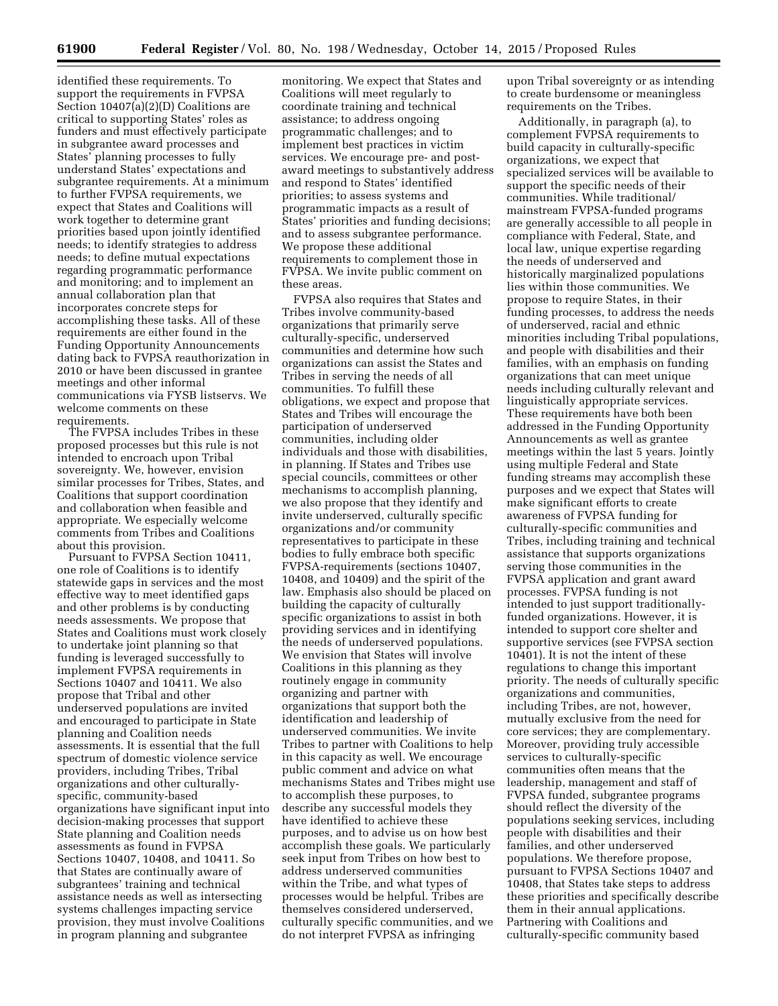identified these requirements. To support the requirements in FVPSA Section 10407(a)(2)(D) Coalitions are critical to supporting States' roles as funders and must effectively participate in subgrantee award processes and States' planning processes to fully understand States' expectations and subgrantee requirements. At a minimum to further FVPSA requirements, we expect that States and Coalitions will work together to determine grant priorities based upon jointly identified needs; to identify strategies to address needs; to define mutual expectations regarding programmatic performance and monitoring; and to implement an annual collaboration plan that incorporates concrete steps for accomplishing these tasks. All of these requirements are either found in the Funding Opportunity Announcements dating back to FVPSA reauthorization in 2010 or have been discussed in grantee meetings and other informal communications via FYSB listservs. We welcome comments on these requirements.

The FVPSA includes Tribes in these proposed processes but this rule is not intended to encroach upon Tribal sovereignty. We, however, envision similar processes for Tribes, States, and Coalitions that support coordination and collaboration when feasible and appropriate. We especially welcome comments from Tribes and Coalitions about this provision.

Pursuant to FVPSA Section 10411, one role of Coalitions is to identify statewide gaps in services and the most effective way to meet identified gaps and other problems is by conducting needs assessments. We propose that States and Coalitions must work closely to undertake joint planning so that funding is leveraged successfully to implement FVPSA requirements in Sections 10407 and 10411. We also propose that Tribal and other underserved populations are invited and encouraged to participate in State planning and Coalition needs assessments. It is essential that the full spectrum of domestic violence service providers, including Tribes, Tribal organizations and other culturallyspecific, community-based organizations have significant input into decision-making processes that support State planning and Coalition needs assessments as found in FVPSA Sections 10407, 10408, and 10411. So that States are continually aware of subgrantees' training and technical assistance needs as well as intersecting systems challenges impacting service provision, they must involve Coalitions in program planning and subgrantee

monitoring. We expect that States and Coalitions will meet regularly to coordinate training and technical assistance; to address ongoing programmatic challenges; and to implement best practices in victim services. We encourage pre- and postaward meetings to substantively address and respond to States' identified priorities; to assess systems and programmatic impacts as a result of States' priorities and funding decisions; and to assess subgrantee performance. We propose these additional requirements to complement those in FVPSA. We invite public comment on these areas.

FVPSA also requires that States and Tribes involve community-based organizations that primarily serve culturally-specific, underserved communities and determine how such organizations can assist the States and Tribes in serving the needs of all communities. To fulfill these obligations, we expect and propose that States and Tribes will encourage the participation of underserved communities, including older individuals and those with disabilities, in planning. If States and Tribes use special councils, committees or other mechanisms to accomplish planning, we also propose that they identify and invite underserved, culturally specific organizations and/or community representatives to participate in these bodies to fully embrace both specific FVPSA-requirements (sections 10407, 10408, and 10409) and the spirit of the law. Emphasis also should be placed on building the capacity of culturally specific organizations to assist in both providing services and in identifying the needs of underserved populations. We envision that States will involve Coalitions in this planning as they routinely engage in community organizing and partner with organizations that support both the identification and leadership of underserved communities. We invite Tribes to partner with Coalitions to help in this capacity as well. We encourage public comment and advice on what mechanisms States and Tribes might use to accomplish these purposes, to describe any successful models they have identified to achieve these purposes, and to advise us on how best accomplish these goals. We particularly seek input from Tribes on how best to address underserved communities within the Tribe, and what types of processes would be helpful. Tribes are themselves considered underserved, culturally specific communities, and we do not interpret FVPSA as infringing

upon Tribal sovereignty or as intending to create burdensome or meaningless requirements on the Tribes.

Additionally, in paragraph (a), to complement FVPSA requirements to build capacity in culturally-specific organizations, we expect that specialized services will be available to support the specific needs of their communities. While traditional/ mainstream FVPSA-funded programs are generally accessible to all people in compliance with Federal, State, and local law, unique expertise regarding the needs of underserved and historically marginalized populations lies within those communities. We propose to require States, in their funding processes, to address the needs of underserved, racial and ethnic minorities including Tribal populations, and people with disabilities and their families, with an emphasis on funding organizations that can meet unique needs including culturally relevant and linguistically appropriate services. These requirements have both been addressed in the Funding Opportunity Announcements as well as grantee meetings within the last 5 years. Jointly using multiple Federal and State funding streams may accomplish these purposes and we expect that States will make significant efforts to create awareness of FVPSA funding for culturally-specific communities and Tribes, including training and technical assistance that supports organizations serving those communities in the FVPSA application and grant award processes. FVPSA funding is not intended to just support traditionallyfunded organizations. However, it is intended to support core shelter and supportive services (see FVPSA section 10401). It is not the intent of these regulations to change this important priority. The needs of culturally specific organizations and communities, including Tribes, are not, however, mutually exclusive from the need for core services; they are complementary. Moreover, providing truly accessible services to culturally-specific communities often means that the leadership, management and staff of FVPSA funded, subgrantee programs should reflect the diversity of the populations seeking services, including people with disabilities and their families, and other underserved populations. We therefore propose, pursuant to FVPSA Sections 10407 and 10408, that States take steps to address these priorities and specifically describe them in their annual applications. Partnering with Coalitions and culturally-specific community based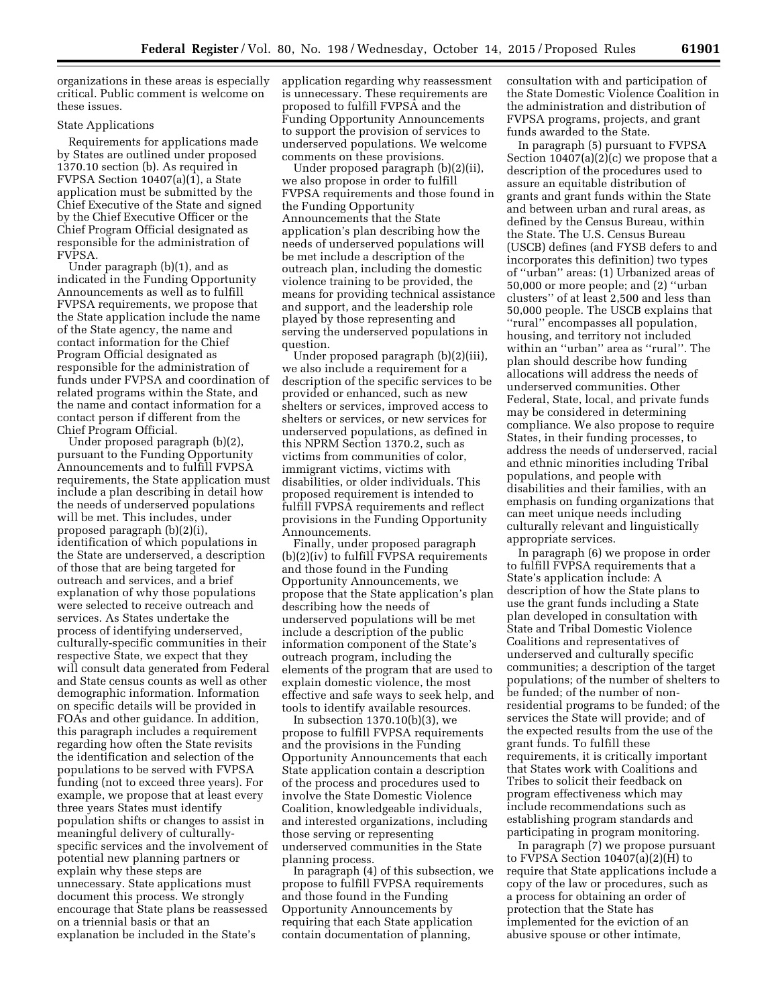organizations in these areas is especially critical. Public comment is welcome on these issues.

#### State Applications

Requirements for applications made by States are outlined under proposed 1370.10 section (b). As required in FVPSA Section 10407(a)(1), a State application must be submitted by the Chief Executive of the State and signed by the Chief Executive Officer or the Chief Program Official designated as responsible for the administration of FVPSA.

Under paragraph (b)(1), and as indicated in the Funding Opportunity Announcements as well as to fulfill FVPSA requirements, we propose that the State application include the name of the State agency, the name and contact information for the Chief Program Official designated as responsible for the administration of funds under FVPSA and coordination of related programs within the State, and the name and contact information for a contact person if different from the Chief Program Official.

Under proposed paragraph (b)(2), pursuant to the Funding Opportunity Announcements and to fulfill FVPSA requirements, the State application must include a plan describing in detail how the needs of underserved populations will be met. This includes, under proposed paragraph (b)(2)(i), identification of which populations in the State are underserved, a description of those that are being targeted for outreach and services, and a brief explanation of why those populations were selected to receive outreach and services. As States undertake the process of identifying underserved, culturally-specific communities in their respective State, we expect that they will consult data generated from Federal and State census counts as well as other demographic information. Information on specific details will be provided in FOAs and other guidance. In addition, this paragraph includes a requirement regarding how often the State revisits the identification and selection of the populations to be served with FVPSA funding (not to exceed three years). For example, we propose that at least every three years States must identify population shifts or changes to assist in meaningful delivery of culturallyspecific services and the involvement of potential new planning partners or explain why these steps are unnecessary. State applications must document this process. We strongly encourage that State plans be reassessed on a triennial basis or that an explanation be included in the State's

application regarding why reassessment is unnecessary. These requirements are proposed to fulfill FVPSA and the Funding Opportunity Announcements to support the provision of services to underserved populations. We welcome comments on these provisions.

Under proposed paragraph (b)(2)(ii), we also propose in order to fulfill FVPSA requirements and those found in the Funding Opportunity Announcements that the State application's plan describing how the needs of underserved populations will be met include a description of the outreach plan, including the domestic violence training to be provided, the means for providing technical assistance and support, and the leadership role played by those representing and serving the underserved populations in question.

Under proposed paragraph (b)(2)(iii), we also include a requirement for a description of the specific services to be provided or enhanced, such as new shelters or services, improved access to shelters or services, or new services for underserved populations, as defined in this NPRM Section 1370.2, such as victims from communities of color, immigrant victims, victims with disabilities, or older individuals. This proposed requirement is intended to fulfill FVPSA requirements and reflect provisions in the Funding Opportunity Announcements.

Finally, under proposed paragraph (b)(2)(iv) to fulfill FVPSA requirements and those found in the Funding Opportunity Announcements, we propose that the State application's plan describing how the needs of underserved populations will be met include a description of the public information component of the State's outreach program, including the elements of the program that are used to explain domestic violence, the most effective and safe ways to seek help, and tools to identify available resources.

In subsection  $1370.10(b)(3)$ , we propose to fulfill FVPSA requirements and the provisions in the Funding Opportunity Announcements that each State application contain a description of the process and procedures used to involve the State Domestic Violence Coalition, knowledgeable individuals, and interested organizations, including those serving or representing underserved communities in the State planning process.

In paragraph (4) of this subsection, we propose to fulfill FVPSA requirements and those found in the Funding Opportunity Announcements by requiring that each State application contain documentation of planning,

consultation with and participation of the State Domestic Violence Coalition in the administration and distribution of FVPSA programs, projects, and grant funds awarded to the State.

In paragraph (5) pursuant to FVPSA Section  $10407(a)(2)(c)$  we propose that a description of the procedures used to assure an equitable distribution of grants and grant funds within the State and between urban and rural areas, as defined by the Census Bureau, within the State. The U.S. Census Bureau (USCB) defines (and FYSB defers to and incorporates this definition) two types of ''urban'' areas: (1) Urbanized areas of 50,000 or more people; and (2) ''urban clusters'' of at least 2,500 and less than 50,000 people. The USCB explains that ''rural'' encompasses all population, housing, and territory not included within an ''urban'' area as ''rural''. The plan should describe how funding allocations will address the needs of underserved communities. Other Federal, State, local, and private funds may be considered in determining compliance. We also propose to require States, in their funding processes, to address the needs of underserved, racial and ethnic minorities including Tribal populations, and people with disabilities and their families, with an emphasis on funding organizations that can meet unique needs including culturally relevant and linguistically appropriate services.

In paragraph (6) we propose in order to fulfill FVPSA requirements that a State's application include: A description of how the State plans to use the grant funds including a State plan developed in consultation with State and Tribal Domestic Violence Coalitions and representatives of underserved and culturally specific communities; a description of the target populations; of the number of shelters to be funded; of the number of nonresidential programs to be funded; of the services the State will provide; and of the expected results from the use of the grant funds. To fulfill these requirements, it is critically important that States work with Coalitions and Tribes to solicit their feedback on program effectiveness which may include recommendations such as establishing program standards and participating in program monitoring.

In paragraph (7) we propose pursuant to FVPSA Section  $10407(a)(2)(H)$  to require that State applications include a copy of the law or procedures, such as a process for obtaining an order of protection that the State has implemented for the eviction of an abusive spouse or other intimate,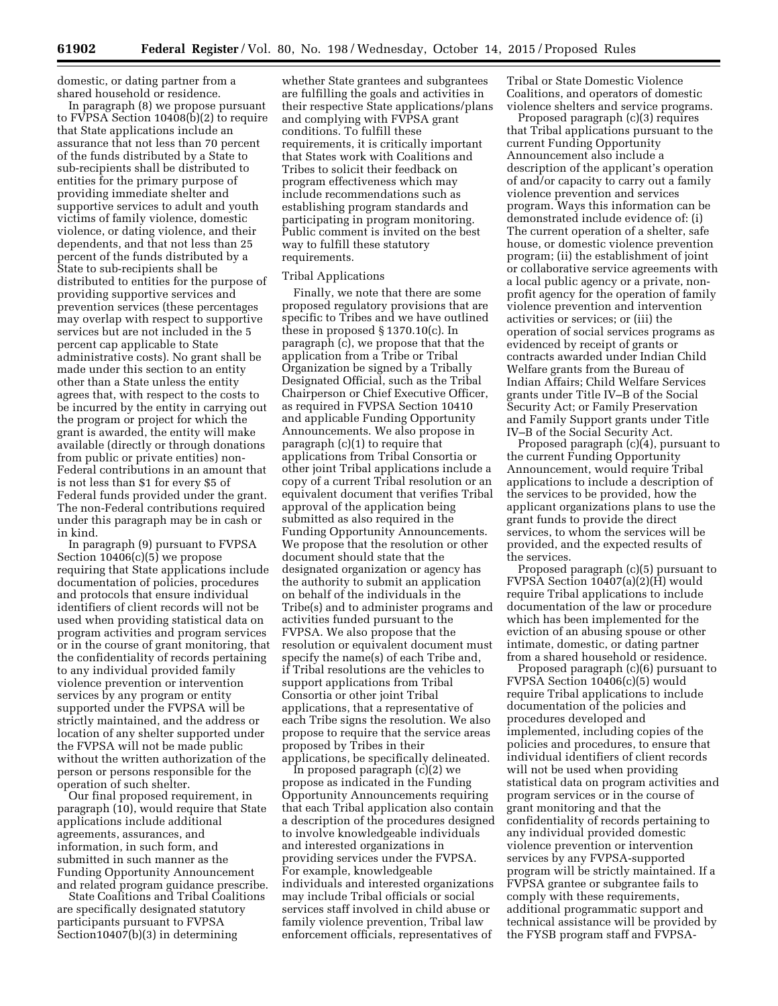domestic, or dating partner from a shared household or residence.

In paragraph (8) we propose pursuant to FVPSA Section 10408(b)(2) to require that State applications include an assurance that not less than 70 percent of the funds distributed by a State to sub-recipients shall be distributed to entities for the primary purpose of providing immediate shelter and supportive services to adult and youth victims of family violence, domestic violence, or dating violence, and their dependents, and that not less than 25 percent of the funds distributed by a State to sub-recipients shall be distributed to entities for the purpose of providing supportive services and prevention services (these percentages may overlap with respect to supportive services but are not included in the 5 percent cap applicable to State administrative costs). No grant shall be made under this section to an entity other than a State unless the entity agrees that, with respect to the costs to be incurred by the entity in carrying out the program or project for which the grant is awarded, the entity will make available (directly or through donations from public or private entities) non-Federal contributions in an amount that is not less than \$1 for every \$5 of Federal funds provided under the grant. The non-Federal contributions required under this paragraph may be in cash or in kind.

In paragraph (9) pursuant to FVPSA Section 10406(c)(5) we propose requiring that State applications include documentation of policies, procedures and protocols that ensure individual identifiers of client records will not be used when providing statistical data on program activities and program services or in the course of grant monitoring, that the confidentiality of records pertaining to any individual provided family violence prevention or intervention services by any program or entity supported under the FVPSA will be strictly maintained, and the address or location of any shelter supported under the FVPSA will not be made public without the written authorization of the person or persons responsible for the operation of such shelter.

Our final proposed requirement, in paragraph (10), would require that State applications include additional agreements, assurances, and information, in such form, and submitted in such manner as the Funding Opportunity Announcement and related program guidance prescribe.

State Coalitions and Tribal Coalitions are specifically designated statutory participants pursuant to FVPSA Section10407(b)(3) in determining

whether State grantees and subgrantees are fulfilling the goals and activities in their respective State applications/plans and complying with FVPSA grant conditions. To fulfill these requirements, it is critically important that States work with Coalitions and Tribes to solicit their feedback on program effectiveness which may include recommendations such as establishing program standards and participating in program monitoring. Public comment is invited on the best way to fulfill these statutory requirements.

#### Tribal Applications

Finally, we note that there are some proposed regulatory provisions that are specific to Tribes and we have outlined these in proposed § 1370.10(c). In paragraph (c), we propose that that the application from a Tribe or Tribal Organization be signed by a Tribally Designated Official, such as the Tribal Chairperson or Chief Executive Officer, as required in FVPSA Section 10410 and applicable Funding Opportunity Announcements. We also propose in paragraph (c)(1) to require that applications from Tribal Consortia or other joint Tribal applications include a copy of a current Tribal resolution or an equivalent document that verifies Tribal approval of the application being submitted as also required in the Funding Opportunity Announcements. We propose that the resolution or other document should state that the designated organization or agency has the authority to submit an application on behalf of the individuals in the Tribe(s) and to administer programs and activities funded pursuant to the FVPSA. We also propose that the resolution or equivalent document must specify the name(s) of each Tribe and, if Tribal resolutions are the vehicles to support applications from Tribal Consortia or other joint Tribal applications, that a representative of each Tribe signs the resolution. We also propose to require that the service areas proposed by Tribes in their applications, be specifically delineated.

In proposed paragraph (c)(2) we propose as indicated in the Funding Opportunity Announcements requiring that each Tribal application also contain a description of the procedures designed to involve knowledgeable individuals and interested organizations in providing services under the FVPSA. For example, knowledgeable individuals and interested organizations may include Tribal officials or social services staff involved in child abuse or family violence prevention, Tribal law enforcement officials, representatives of

Tribal or State Domestic Violence Coalitions, and operators of domestic violence shelters and service programs.

Proposed paragraph (c)(3) requires that Tribal applications pursuant to the current Funding Opportunity Announcement also include a description of the applicant's operation of and/or capacity to carry out a family violence prevention and services program. Ways this information can be demonstrated include evidence of: (i) The current operation of a shelter, safe house, or domestic violence prevention program; (ii) the establishment of joint or collaborative service agreements with a local public agency or a private, nonprofit agency for the operation of family violence prevention and intervention activities or services; or (iii) the operation of social services programs as evidenced by receipt of grants or contracts awarded under Indian Child Welfare grants from the Bureau of Indian Affairs; Child Welfare Services grants under Title IV–B of the Social Security Act; or Family Preservation and Family Support grants under Title IV–B of the Social Security Act.

Proposed paragraph (c)(4), pursuant to the current Funding Opportunity Announcement, would require Tribal applications to include a description of the services to be provided, how the applicant organizations plans to use the grant funds to provide the direct services, to whom the services will be provided, and the expected results of the services.

Proposed paragraph (c)(5) pursuant to FVPSA Section 10407(a)(2)(H) would require Tribal applications to include documentation of the law or procedure which has been implemented for the eviction of an abusing spouse or other intimate, domestic, or dating partner from a shared household or residence.

Proposed paragraph (c)(6) pursuant to FVPSA Section 10406(c)(5) would require Tribal applications to include documentation of the policies and procedures developed and implemented, including copies of the policies and procedures, to ensure that individual identifiers of client records will not be used when providing statistical data on program activities and program services or in the course of grant monitoring and that the confidentiality of records pertaining to any individual provided domestic violence prevention or intervention services by any FVPSA-supported program will be strictly maintained. If a FVPSA grantee or subgrantee fails to comply with these requirements, additional programmatic support and technical assistance will be provided by the FYSB program staff and FVPSA-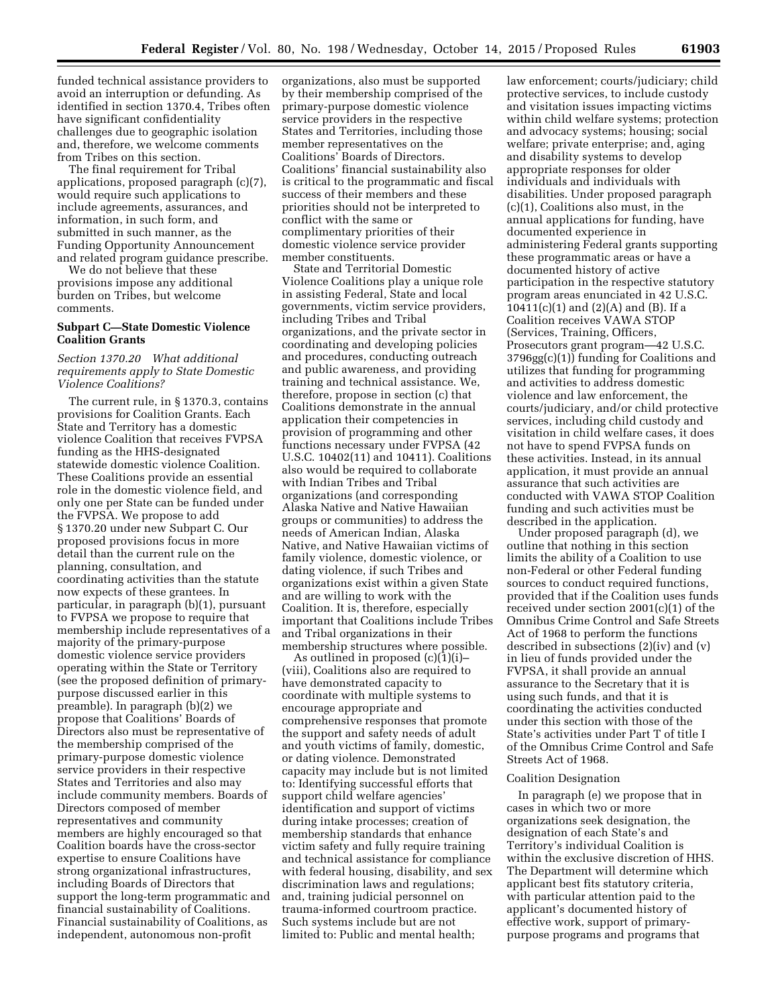funded technical assistance providers to avoid an interruption or defunding. As identified in section 1370.4, Tribes often have significant confidentiality challenges due to geographic isolation and, therefore, we welcome comments from Tribes on this section.

The final requirement for Tribal applications, proposed paragraph (c)(7), would require such applications to include agreements, assurances, and information, in such form, and submitted in such manner, as the Funding Opportunity Announcement and related program guidance prescribe.

We do not believe that these provisions impose any additional burden on Tribes, but welcome comments.

## **Subpart C—State Domestic Violence Coalition Grants**

### *Section 1370.20 What additional requirements apply to State Domestic Violence Coalitions?*

The current rule, in § 1370.3, contains provisions for Coalition Grants. Each State and Territory has a domestic violence Coalition that receives FVPSA funding as the HHS-designated statewide domestic violence Coalition. These Coalitions provide an essential role in the domestic violence field, and only one per State can be funded under the FVPSA. We propose to add § 1370.20 under new Subpart C. Our proposed provisions focus in more detail than the current rule on the planning, consultation, and coordinating activities than the statute now expects of these grantees. In particular, in paragraph (b)(1), pursuant to FVPSA we propose to require that membership include representatives of a majority of the primary-purpose domestic violence service providers operating within the State or Territory (see the proposed definition of primarypurpose discussed earlier in this preamble). In paragraph (b)(2) we propose that Coalitions' Boards of Directors also must be representative of the membership comprised of the primary-purpose domestic violence service providers in their respective States and Territories and also may include community members. Boards of Directors composed of member representatives and community members are highly encouraged so that Coalition boards have the cross-sector expertise to ensure Coalitions have strong organizational infrastructures, including Boards of Directors that support the long-term programmatic and financial sustainability of Coalitions. Financial sustainability of Coalitions, as independent, autonomous non-profit

organizations, also must be supported by their membership comprised of the primary-purpose domestic violence service providers in the respective States and Territories, including those member representatives on the Coalitions' Boards of Directors. Coalitions' financial sustainability also is critical to the programmatic and fiscal success of their members and these priorities should not be interpreted to conflict with the same or complimentary priorities of their domestic violence service provider member constituents.

State and Territorial Domestic Violence Coalitions play a unique role in assisting Federal, State and local governments, victim service providers, including Tribes and Tribal organizations, and the private sector in coordinating and developing policies and procedures, conducting outreach and public awareness, and providing training and technical assistance. We, therefore, propose in section (c) that Coalitions demonstrate in the annual application their competencies in provision of programming and other functions necessary under FVPSA (42 U.S.C. 10402(11) and 10411). Coalitions also would be required to collaborate with Indian Tribes and Tribal organizations (and corresponding Alaska Native and Native Hawaiian groups or communities) to address the needs of American Indian, Alaska Native, and Native Hawaiian victims of family violence, domestic violence, or dating violence, if such Tribes and organizations exist within a given State and are willing to work with the Coalition. It is, therefore, especially important that Coalitions include Tribes and Tribal organizations in their membership structures where possible.

As outlined in proposed (c)(1)(i)– (viii), Coalitions also are required to have demonstrated capacity to coordinate with multiple systems to encourage appropriate and comprehensive responses that promote the support and safety needs of adult and youth victims of family, domestic, or dating violence. Demonstrated capacity may include but is not limited to: Identifying successful efforts that support child welfare agencies' identification and support of victims during intake processes; creation of membership standards that enhance victim safety and fully require training and technical assistance for compliance with federal housing, disability, and sex discrimination laws and regulations; and, training judicial personnel on trauma-informed courtroom practice. Such systems include but are not limited to: Public and mental health;

law enforcement; courts/judiciary; child protective services, to include custody and visitation issues impacting victims within child welfare systems; protection and advocacy systems; housing; social welfare; private enterprise; and, aging and disability systems to develop appropriate responses for older individuals and individuals with disabilities. Under proposed paragraph (c)(1), Coalitions also must, in the annual applications for funding, have documented experience in administering Federal grants supporting these programmatic areas or have a documented history of active participation in the respective statutory program areas enunciated in 42 U.S.C. 10411(c)(1) and  $(2)(A)$  and  $(B)$ . If a Coalition receives VAWA STOP (Services, Training, Officers, Prosecutors grant program—42 U.S.C. 3796gg(c)(1)) funding for Coalitions and utilizes that funding for programming and activities to address domestic violence and law enforcement, the courts/judiciary, and/or child protective services, including child custody and visitation in child welfare cases, it does not have to spend FVPSA funds on these activities. Instead, in its annual application, it must provide an annual assurance that such activities are conducted with VAWA STOP Coalition funding and such activities must be described in the application.

Under proposed paragraph (d), we outline that nothing in this section limits the ability of a Coalition to use non-Federal or other Federal funding sources to conduct required functions, provided that if the Coalition uses funds received under section 2001(c)(1) of the Omnibus Crime Control and Safe Streets Act of 1968 to perform the functions described in subsections (2)(iv) and (v) in lieu of funds provided under the FVPSA, it shall provide an annual assurance to the Secretary that it is using such funds, and that it is coordinating the activities conducted under this section with those of the State's activities under Part T of title I of the Omnibus Crime Control and Safe Streets Act of 1968.

#### Coalition Designation

In paragraph (e) we propose that in cases in which two or more organizations seek designation, the designation of each State's and Territory's individual Coalition is within the exclusive discretion of HHS. The Department will determine which applicant best fits statutory criteria, with particular attention paid to the applicant's documented history of effective work, support of primarypurpose programs and programs that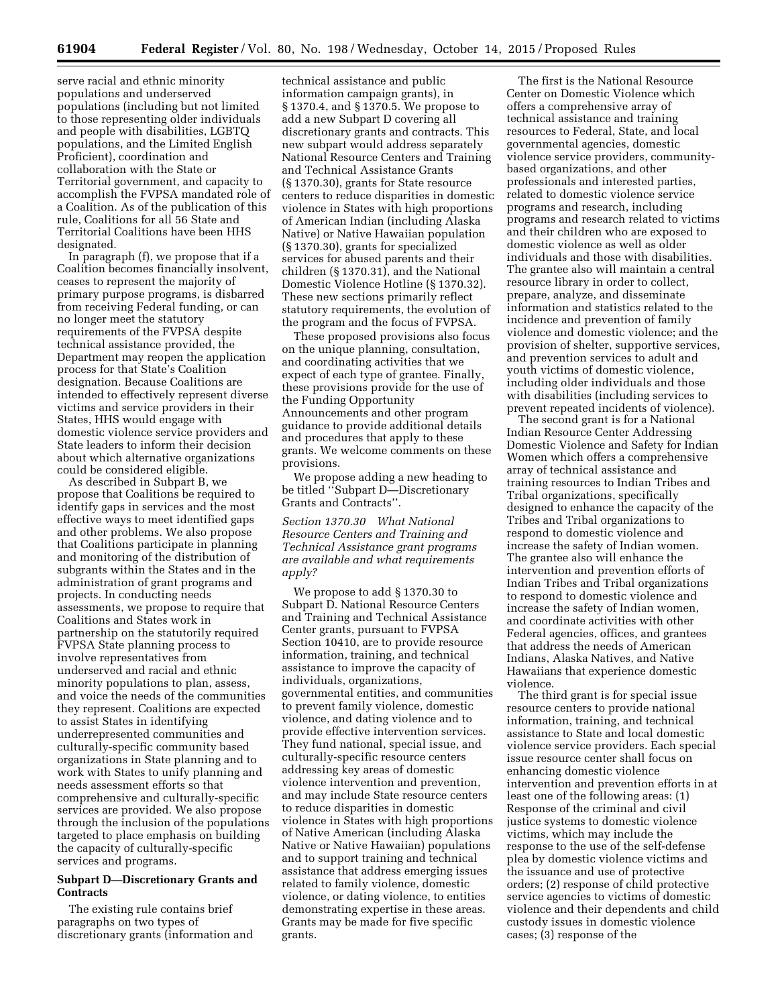**61904 Federal Register** / Vol. 80, No. 198 / Wednesday, October 14, 2015 / Proposed Rules

serve racial and ethnic minority populations and underserved populations (including but not limited to those representing older individuals and people with disabilities, LGBTQ populations, and the Limited English Proficient), coordination and collaboration with the State or Territorial government, and capacity to accomplish the FVPSA mandated role of a Coalition. As of the publication of this rule, Coalitions for all 56 State and Territorial Coalitions have been HHS designated.

In paragraph (f), we propose that if a Coalition becomes financially insolvent, ceases to represent the majority of primary purpose programs, is disbarred from receiving Federal funding, or can no longer meet the statutory requirements of the FVPSA despite technical assistance provided, the Department may reopen the application process for that State's Coalition designation. Because Coalitions are intended to effectively represent diverse victims and service providers in their States, HHS would engage with domestic violence service providers and State leaders to inform their decision about which alternative organizations could be considered eligible.

As described in Subpart B, we propose that Coalitions be required to identify gaps in services and the most effective ways to meet identified gaps and other problems. We also propose that Coalitions participate in planning and monitoring of the distribution of subgrants within the States and in the administration of grant programs and projects. In conducting needs assessments, we propose to require that Coalitions and States work in partnership on the statutorily required FVPSA State planning process to involve representatives from underserved and racial and ethnic minority populations to plan, assess, and voice the needs of the communities they represent. Coalitions are expected to assist States in identifying underrepresented communities and culturally-specific community based organizations in State planning and to work with States to unify planning and needs assessment efforts so that comprehensive and culturally-specific services are provided. We also propose through the inclusion of the populations targeted to place emphasis on building the capacity of culturally-specific services and programs.

### **Subpart D—Discretionary Grants and Contracts**

The existing rule contains brief paragraphs on two types of discretionary grants (information and

technical assistance and public information campaign grants), in § 1370.4, and § 1370.5. We propose to add a new Subpart D covering all discretionary grants and contracts. This new subpart would address separately National Resource Centers and Training and Technical Assistance Grants (§ 1370.30), grants for State resource centers to reduce disparities in domestic violence in States with high proportions of American Indian (including Alaska Native) or Native Hawaiian population (§ 1370.30), grants for specialized services for abused parents and their children (§ 1370.31), and the National Domestic Violence Hotline (§ 1370.32). These new sections primarily reflect statutory requirements, the evolution of the program and the focus of FVPSA.

These proposed provisions also focus on the unique planning, consultation, and coordinating activities that we expect of each type of grantee. Finally, these provisions provide for the use of the Funding Opportunity Announcements and other program guidance to provide additional details and procedures that apply to these grants. We welcome comments on these provisions.

We propose adding a new heading to be titled ''Subpart D—Discretionary Grants and Contracts''.

*Section 1370.30 What National Resource Centers and Training and Technical Assistance grant programs are available and what requirements apply?* 

We propose to add § 1370.30 to Subpart D. National Resource Centers and Training and Technical Assistance Center grants, pursuant to FVPSA Section 10410, are to provide resource information, training, and technical assistance to improve the capacity of individuals, organizations, governmental entities, and communities to prevent family violence, domestic violence, and dating violence and to provide effective intervention services. They fund national, special issue, and culturally-specific resource centers addressing key areas of domestic violence intervention and prevention, and may include State resource centers to reduce disparities in domestic violence in States with high proportions of Native American (including Alaska Native or Native Hawaiian) populations and to support training and technical assistance that address emerging issues related to family violence, domestic violence, or dating violence, to entities demonstrating expertise in these areas. Grants may be made for five specific grants.

The first is the National Resource Center on Domestic Violence which offers a comprehensive array of technical assistance and training resources to Federal, State, and local governmental agencies, domestic violence service providers, communitybased organizations, and other professionals and interested parties, related to domestic violence service programs and research, including programs and research related to victims and their children who are exposed to domestic violence as well as older individuals and those with disabilities. The grantee also will maintain a central resource library in order to collect, prepare, analyze, and disseminate information and statistics related to the incidence and prevention of family violence and domestic violence; and the provision of shelter, supportive services, and prevention services to adult and youth victims of domestic violence, including older individuals and those with disabilities (including services to prevent repeated incidents of violence).

The second grant is for a National Indian Resource Center Addressing Domestic Violence and Safety for Indian Women which offers a comprehensive array of technical assistance and training resources to Indian Tribes and Tribal organizations, specifically designed to enhance the capacity of the Tribes and Tribal organizations to respond to domestic violence and increase the safety of Indian women. The grantee also will enhance the intervention and prevention efforts of Indian Tribes and Tribal organizations to respond to domestic violence and increase the safety of Indian women, and coordinate activities with other Federal agencies, offices, and grantees that address the needs of American Indians, Alaska Natives, and Native Hawaiians that experience domestic violence.

The third grant is for special issue resource centers to provide national information, training, and technical assistance to State and local domestic violence service providers. Each special issue resource center shall focus on enhancing domestic violence intervention and prevention efforts in at least one of the following areas: (1) Response of the criminal and civil justice systems to domestic violence victims, which may include the response to the use of the self-defense plea by domestic violence victims and the issuance and use of protective orders; (2) response of child protective service agencies to victims of domestic violence and their dependents and child custody issues in domestic violence cases; (3) response of the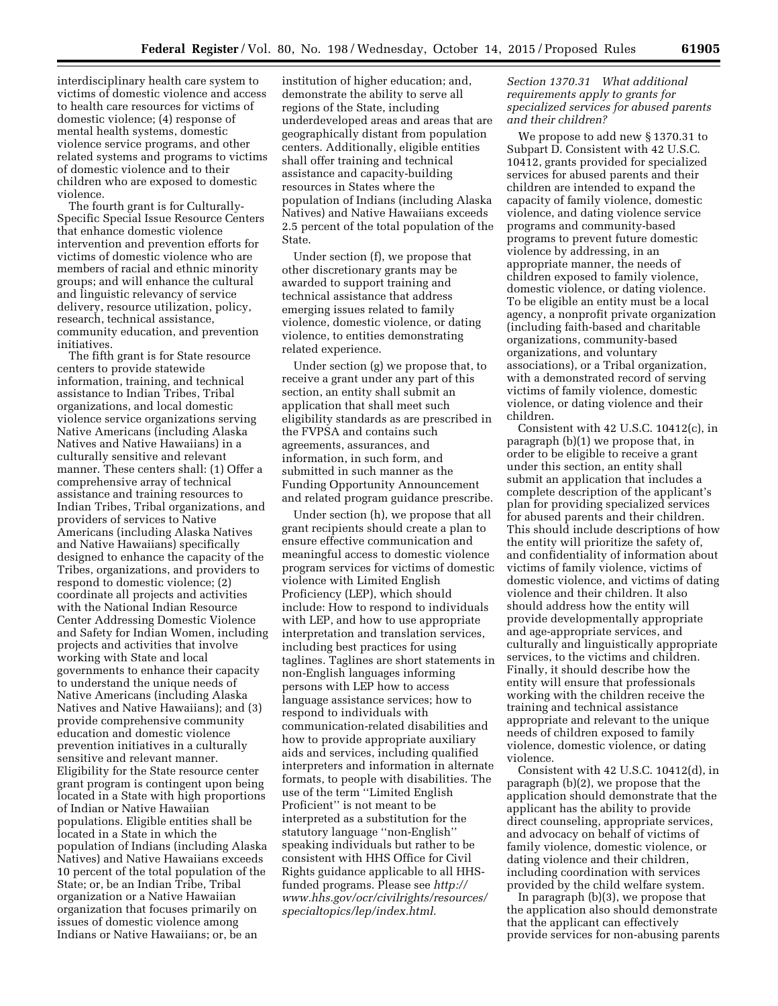interdisciplinary health care system to victims of domestic violence and access to health care resources for victims of domestic violence; (4) response of mental health systems, domestic violence service programs, and other related systems and programs to victims of domestic violence and to their children who are exposed to domestic violence.

The fourth grant is for Culturally-Specific Special Issue Resource Centers that enhance domestic violence intervention and prevention efforts for victims of domestic violence who are members of racial and ethnic minority groups; and will enhance the cultural and linguistic relevancy of service delivery, resource utilization, policy, research, technical assistance, community education, and prevention initiatives.

The fifth grant is for State resource centers to provide statewide information, training, and technical assistance to Indian Tribes, Tribal organizations, and local domestic violence service organizations serving Native Americans (including Alaska Natives and Native Hawaiians) in a culturally sensitive and relevant manner. These centers shall: (1) Offer a comprehensive array of technical assistance and training resources to Indian Tribes, Tribal organizations, and providers of services to Native Americans (including Alaska Natives and Native Hawaiians) specifically designed to enhance the capacity of the Tribes, organizations, and providers to respond to domestic violence; (2) coordinate all projects and activities with the National Indian Resource Center Addressing Domestic Violence and Safety for Indian Women, including projects and activities that involve working with State and local governments to enhance their capacity to understand the unique needs of Native Americans (including Alaska Natives and Native Hawaiians); and (3) provide comprehensive community education and domestic violence prevention initiatives in a culturally sensitive and relevant manner. Eligibility for the State resource center grant program is contingent upon being located in a State with high proportions of Indian or Native Hawaiian populations. Eligible entities shall be located in a State in which the population of Indians (including Alaska Natives) and Native Hawaiians exceeds 10 percent of the total population of the State; or, be an Indian Tribe, Tribal organization or a Native Hawaiian organization that focuses primarily on issues of domestic violence among Indians or Native Hawaiians; or, be an

institution of higher education; and, demonstrate the ability to serve all regions of the State, including underdeveloped areas and areas that are geographically distant from population centers. Additionally, eligible entities shall offer training and technical assistance and capacity-building resources in States where the population of Indians (including Alaska Natives) and Native Hawaiians exceeds 2.5 percent of the total population of the State.

Under section (f), we propose that other discretionary grants may be awarded to support training and technical assistance that address emerging issues related to family violence, domestic violence, or dating violence, to entities demonstrating related experience.

Under section (g) we propose that, to receive a grant under any part of this section, an entity shall submit an application that shall meet such eligibility standards as are prescribed in the FVPSA and contains such agreements, assurances, and information, in such form, and submitted in such manner as the Funding Opportunity Announcement and related program guidance prescribe.

Under section (h), we propose that all grant recipients should create a plan to ensure effective communication and meaningful access to domestic violence program services for victims of domestic violence with Limited English Proficiency (LEP), which should include: How to respond to individuals with LEP, and how to use appropriate interpretation and translation services, including best practices for using taglines. Taglines are short statements in non-English languages informing persons with LEP how to access language assistance services; how to respond to individuals with communication-related disabilities and how to provide appropriate auxiliary aids and services, including qualified interpreters and information in alternate formats, to people with disabilities. The use of the term ''Limited English Proficient'' is not meant to be interpreted as a substitution for the statutory language ''non-English'' speaking individuals but rather to be consistent with HHS Office for Civil Rights guidance applicable to all HHSfunded programs. Please see *[http://](http://www.hhs.gov/ocr/civilrights/resources/specialtopics/lep/index.html) [www.hhs.gov/ocr/civilrights/resources/](http://www.hhs.gov/ocr/civilrights/resources/specialtopics/lep/index.html) [specialtopics/lep/index.html.](http://www.hhs.gov/ocr/civilrights/resources/specialtopics/lep/index.html)* 

### *Section 1370.31 What additional requirements apply to grants for specialized services for abused parents and their children?*

We propose to add new § 1370.31 to Subpart D. Consistent with 42 U.S.C. 10412, grants provided for specialized services for abused parents and their children are intended to expand the capacity of family violence, domestic violence, and dating violence service programs and community-based programs to prevent future domestic violence by addressing, in an appropriate manner, the needs of children exposed to family violence, domestic violence, or dating violence. To be eligible an entity must be a local agency, a nonprofit private organization (including faith-based and charitable organizations, community-based organizations, and voluntary associations), or a Tribal organization, with a demonstrated record of serving victims of family violence, domestic violence, or dating violence and their children.

Consistent with 42 U.S.C. 10412(c), in paragraph (b)(1) we propose that, in order to be eligible to receive a grant under this section, an entity shall submit an application that includes a complete description of the applicant's plan for providing specialized services for abused parents and their children. This should include descriptions of how the entity will prioritize the safety of, and confidentiality of information about victims of family violence, victims of domestic violence, and victims of dating violence and their children. It also should address how the entity will provide developmentally appropriate and age-appropriate services, and culturally and linguistically appropriate services, to the victims and children. Finally, it should describe how the entity will ensure that professionals working with the children receive the training and technical assistance appropriate and relevant to the unique needs of children exposed to family violence, domestic violence, or dating violence.

Consistent with 42 U.S.C. 10412(d), in paragraph (b)(2), we propose that the application should demonstrate that the applicant has the ability to provide direct counseling, appropriate services, and advocacy on behalf of victims of family violence, domestic violence, or dating violence and their children, including coordination with services provided by the child welfare system.

In paragraph (b)(3), we propose that the application also should demonstrate that the applicant can effectively provide services for non-abusing parents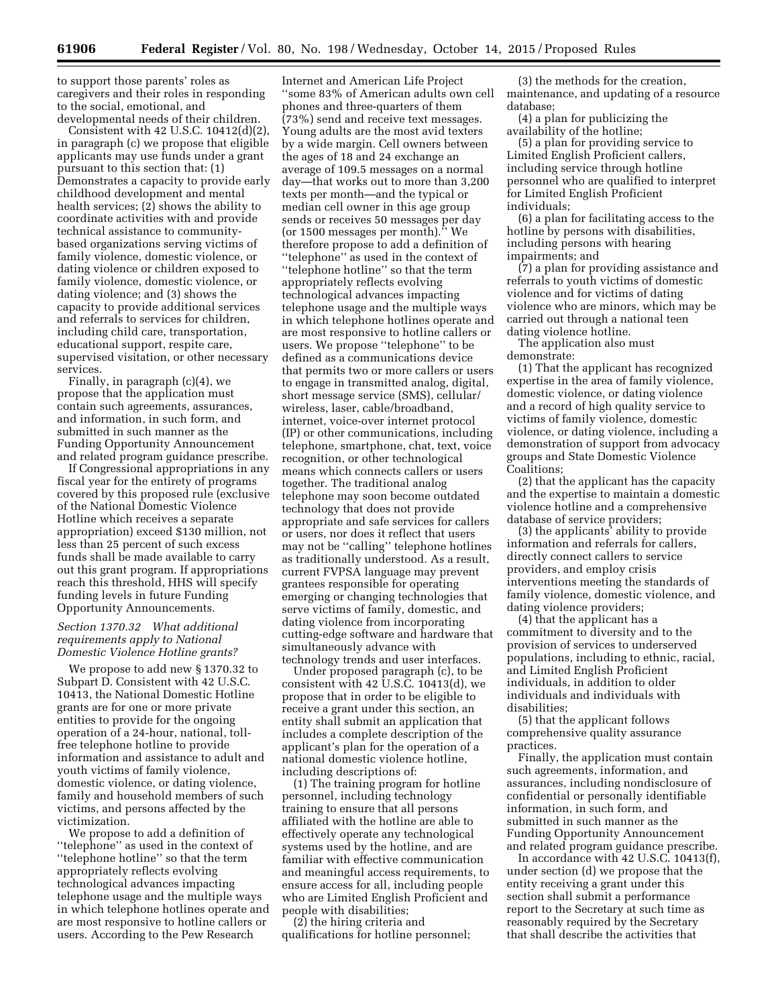to support those parents' roles as caregivers and their roles in responding to the social, emotional, and developmental needs of their children.

Consistent with 42 U.S.C. 10412(d)(2), in paragraph (c) we propose that eligible applicants may use funds under a grant pursuant to this section that: (1) Demonstrates a capacity to provide early childhood development and mental health services; (2) shows the ability to coordinate activities with and provide technical assistance to communitybased organizations serving victims of family violence, domestic violence, or dating violence or children exposed to family violence, domestic violence, or dating violence; and (3) shows the capacity to provide additional services and referrals to services for children, including child care, transportation, educational support, respite care, supervised visitation, or other necessary services.

Finally, in paragraph (c)(4), we propose that the application must contain such agreements, assurances, and information, in such form, and submitted in such manner as the Funding Opportunity Announcement and related program guidance prescribe.

If Congressional appropriations in any fiscal year for the entirety of programs covered by this proposed rule (exclusive of the National Domestic Violence Hotline which receives a separate appropriation) exceed \$130 million, not less than 25 percent of such excess funds shall be made available to carry out this grant program. If appropriations reach this threshold, HHS will specify funding levels in future Funding Opportunity Announcements.

## *Section 1370.32 What additional requirements apply to National Domestic Violence Hotline grants?*

We propose to add new § 1370.32 to Subpart D. Consistent with 42 U.S.C. 10413, the National Domestic Hotline grants are for one or more private entities to provide for the ongoing operation of a 24-hour, national, tollfree telephone hotline to provide information and assistance to adult and youth victims of family violence, domestic violence, or dating violence, family and household members of such victims, and persons affected by the victimization.

We propose to add a definition of ''telephone'' as used in the context of ''telephone hotline'' so that the term appropriately reflects evolving technological advances impacting telephone usage and the multiple ways in which telephone hotlines operate and are most responsive to hotline callers or users. According to the Pew Research

Internet and American Life Project ''some 83% of American adults own cell phones and three-quarters of them (73%) send and receive text messages. Young adults are the most avid texters by a wide margin. Cell owners between the ages of 18 and 24 exchange an average of 109.5 messages on a normal day—that works out to more than 3,200 texts per month—and the typical or median cell owner in this age group sends or receives 50 messages per day (or 1500 messages per month).'' We therefore propose to add a definition of ''telephone'' as used in the context of ''telephone hotline'' so that the term appropriately reflects evolving technological advances impacting telephone usage and the multiple ways in which telephone hotlines operate and are most responsive to hotline callers or users. We propose ''telephone'' to be defined as a communications device that permits two or more callers or users to engage in transmitted analog, digital, short message service (SMS), cellular/ wireless, laser, cable/broadband, internet, voice-over internet protocol (IP) or other communications, including telephone, smartphone, chat, text, voice recognition, or other technological means which connects callers or users together. The traditional analog telephone may soon become outdated technology that does not provide appropriate and safe services for callers or users, nor does it reflect that users may not be ''calling'' telephone hotlines as traditionally understood. As a result, current FVPSA language may prevent grantees responsible for operating emerging or changing technologies that serve victims of family, domestic, and dating violence from incorporating cutting-edge software and hardware that simultaneously advance with technology trends and user interfaces.

Under proposed paragraph (c), to be consistent with 42 U.S.C. 10413(d), we propose that in order to be eligible to receive a grant under this section, an entity shall submit an application that includes a complete description of the applicant's plan for the operation of a national domestic violence hotline, including descriptions of:

(1) The training program for hotline personnel, including technology training to ensure that all persons affiliated with the hotline are able to effectively operate any technological systems used by the hotline, and are familiar with effective communication and meaningful access requirements, to ensure access for all, including people who are Limited English Proficient and people with disabilities;

(2) the hiring criteria and qualifications for hotline personnel;

(3) the methods for the creation, maintenance, and updating of a resource database;

(4) a plan for publicizing the availability of the hotline;

(5) a plan for providing service to Limited English Proficient callers, including service through hotline personnel who are qualified to interpret for Limited English Proficient individuals;

(6) a plan for facilitating access to the hotline by persons with disabilities, including persons with hearing impairments; and

(7) a plan for providing assistance and referrals to youth victims of domestic violence and for victims of dating violence who are minors, which may be carried out through a national teen dating violence hotline.

The application also must demonstrate:

(1) That the applicant has recognized expertise in the area of family violence, domestic violence, or dating violence and a record of high quality service to victims of family violence, domestic violence, or dating violence, including a demonstration of support from advocacy groups and State Domestic Violence Coalitions;

(2) that the applicant has the capacity and the expertise to maintain a domestic violence hotline and a comprehensive database of service providers;

(3) the applicants' ability to provide information and referrals for callers, directly connect callers to service providers, and employ crisis interventions meeting the standards of family violence, domestic violence, and dating violence providers;

(4) that the applicant has a commitment to diversity and to the provision of services to underserved populations, including to ethnic, racial, and Limited English Proficient individuals, in addition to older individuals and individuals with disabilities;

(5) that the applicant follows comprehensive quality assurance practices.

Finally, the application must contain such agreements, information, and assurances, including nondisclosure of confidential or personally identifiable information, in such form, and submitted in such manner as the Funding Opportunity Announcement and related program guidance prescribe.

In accordance with 42 U.S.C. 10413(f), under section (d) we propose that the entity receiving a grant under this section shall submit a performance report to the Secretary at such time as reasonably required by the Secretary that shall describe the activities that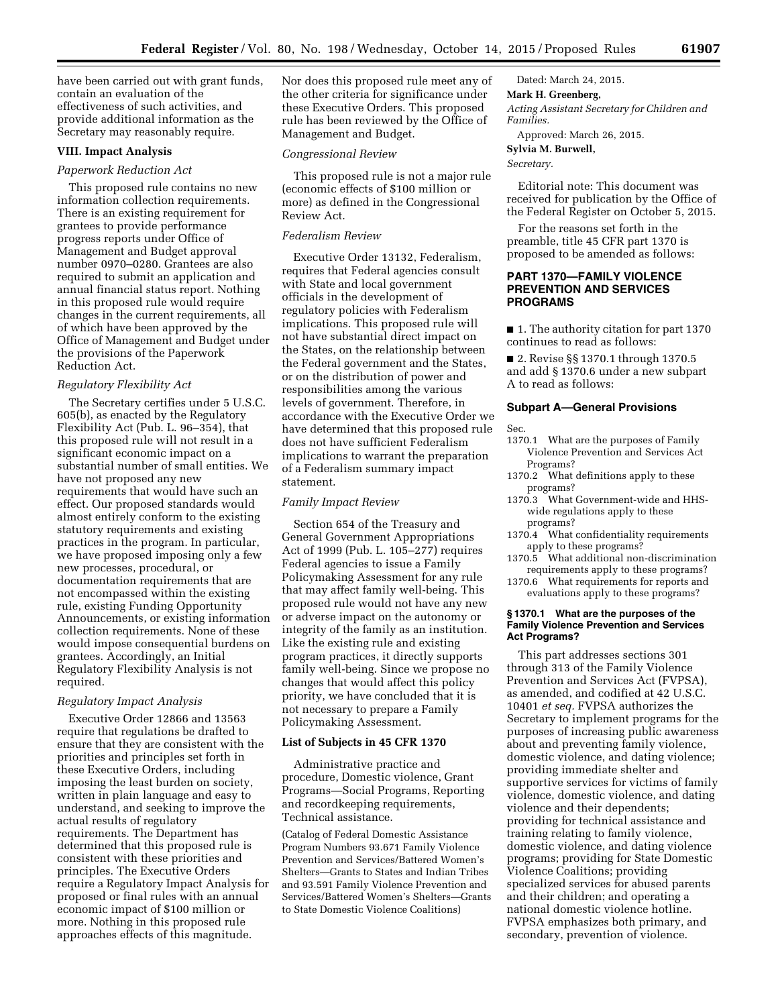have been carried out with grant funds, contain an evaluation of the effectiveness of such activities, and provide additional information as the Secretary may reasonably require.

## **VIII. Impact Analysis**

#### *Paperwork Reduction Act*

This proposed rule contains no new information collection requirements. There is an existing requirement for grantees to provide performance progress reports under Office of Management and Budget approval number 0970–0280. Grantees are also required to submit an application and annual financial status report. Nothing in this proposed rule would require changes in the current requirements, all of which have been approved by the Office of Management and Budget under the provisions of the Paperwork Reduction Act.

#### *Regulatory Flexibility Act*

The Secretary certifies under 5 U.S.C. 605(b), as enacted by the Regulatory Flexibility Act (Pub. L. 96–354), that this proposed rule will not result in a significant economic impact on a substantial number of small entities. We have not proposed any new requirements that would have such an effect. Our proposed standards would almost entirely conform to the existing statutory requirements and existing practices in the program. In particular, we have proposed imposing only a few new processes, procedural, or documentation requirements that are not encompassed within the existing rule, existing Funding Opportunity Announcements, or existing information collection requirements. None of these would impose consequential burdens on grantees. Accordingly, an Initial Regulatory Flexibility Analysis is not required.

#### *Regulatory Impact Analysis*

Executive Order 12866 and 13563 require that regulations be drafted to ensure that they are consistent with the priorities and principles set forth in these Executive Orders, including imposing the least burden on society, written in plain language and easy to understand, and seeking to improve the actual results of regulatory requirements. The Department has determined that this proposed rule is consistent with these priorities and principles. The Executive Orders require a Regulatory Impact Analysis for proposed or final rules with an annual economic impact of \$100 million or more. Nothing in this proposed rule approaches effects of this magnitude.

Nor does this proposed rule meet any of the other criteria for significance under these Executive Orders. This proposed rule has been reviewed by the Office of Management and Budget.

#### *Congressional Review*

This proposed rule is not a major rule (economic effects of \$100 million or more) as defined in the Congressional Review Act.

## *Federalism Review*

Executive Order 13132, Federalism, requires that Federal agencies consult with State and local government officials in the development of regulatory policies with Federalism implications. This proposed rule will not have substantial direct impact on the States, on the relationship between the Federal government and the States, or on the distribution of power and responsibilities among the various levels of government. Therefore, in accordance with the Executive Order we have determined that this proposed rule does not have sufficient Federalism implications to warrant the preparation of a Federalism summary impact statement.

#### *Family Impact Review*

Section 654 of the Treasury and General Government Appropriations Act of 1999 (Pub. L. 105–277) requires Federal agencies to issue a Family Policymaking Assessment for any rule that may affect family well-being. This proposed rule would not have any new or adverse impact on the autonomy or integrity of the family as an institution. Like the existing rule and existing program practices, it directly supports family well-being. Since we propose no changes that would affect this policy priority, we have concluded that it is not necessary to prepare a Family Policymaking Assessment.

#### **List of Subjects in 45 CFR 1370**

Administrative practice and procedure, Domestic violence, Grant Programs—Social Programs, Reporting and recordkeeping requirements, Technical assistance.

(Catalog of Federal Domestic Assistance Program Numbers 93.671 Family Violence Prevention and Services/Battered Women's Shelters—Grants to States and Indian Tribes and 93.591 Family Violence Prevention and Services/Battered Women's Shelters—Grants to State Domestic Violence Coalitions)

# Dated: March 24, 2015.

### **Mark H. Greenberg,**

*Acting Assistant Secretary for Children and Families.* 

Approved: March 26, 2015.

#### **Sylvia M. Burwell,**

*Secretary.* 

Editorial note: This document was received for publication by the Office of the Federal Register on October 5, 2015.

For the reasons set forth in the preamble, title 45 CFR part 1370 is proposed to be amended as follows:

### **PART 1370—FAMILY VIOLENCE PREVENTION AND SERVICES PROGRAMS**

■ 1. The authority citation for part 1370 continues to read as follows:

■ 2. Revise §§ 1370.1 through 1370.5 and add § 1370.6 under a new subpart A to read as follows:

#### **Subpart A—General Provisions**

#### Sec.

- 1370.1 What are the purposes of Family Violence Prevention and Services Act Programs?
- 1370.2 What definitions apply to these programs?
- 1370.3 What Government-wide and HHSwide regulations apply to these programs?
- 1370.4 What confidentiality requirements apply to these programs?
- 1370.5 What additional non-discrimination requirements apply to these programs?
- 1370.6 What requirements for reports and evaluations apply to these programs?

#### **§ 1370.1 What are the purposes of the Family Violence Prevention and Services Act Programs?**

This part addresses sections 301 through 313 of the Family Violence Prevention and Services Act (FVPSA), as amended, and codified at 42 U.S.C. 10401 *et seq.* FVPSA authorizes the Secretary to implement programs for the purposes of increasing public awareness about and preventing family violence, domestic violence, and dating violence; providing immediate shelter and supportive services for victims of family violence, domestic violence, and dating violence and their dependents; providing for technical assistance and training relating to family violence, domestic violence, and dating violence programs; providing for State Domestic Violence Coalitions; providing specialized services for abused parents and their children; and operating a national domestic violence hotline. FVPSA emphasizes both primary, and secondary, prevention of violence.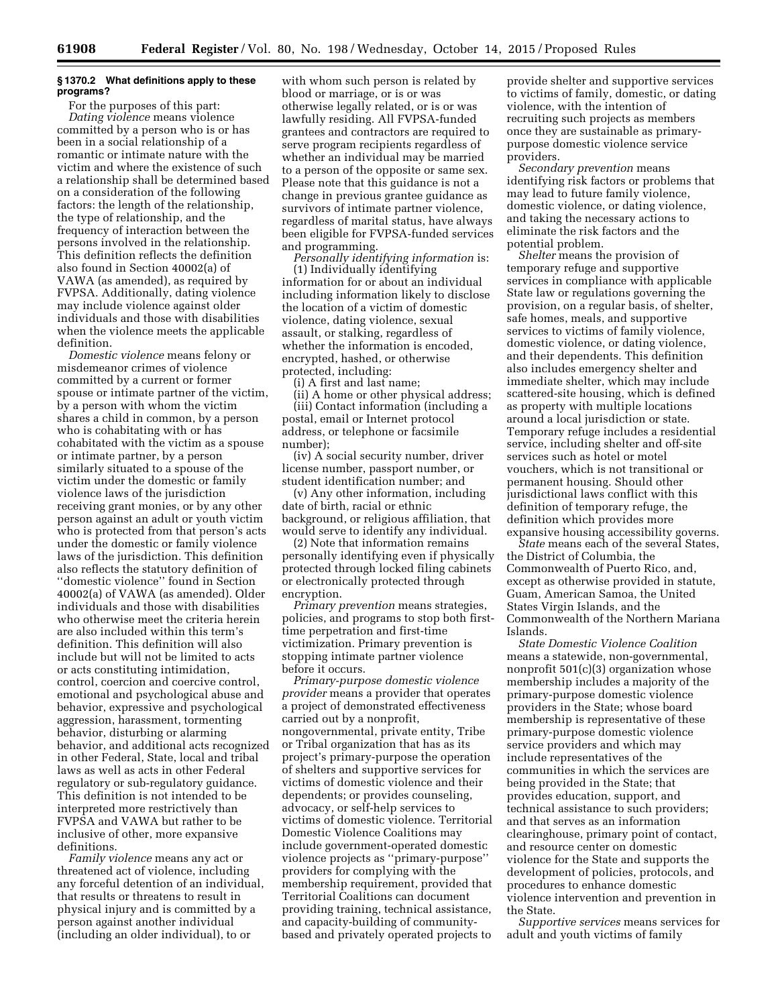### **§ 1370.2 What definitions apply to these programs?**

For the purposes of this part: *Dating violence* means violence committed by a person who is or has been in a social relationship of a romantic or intimate nature with the victim and where the existence of such a relationship shall be determined based on a consideration of the following factors: the length of the relationship, the type of relationship, and the frequency of interaction between the persons involved in the relationship. This definition reflects the definition also found in Section 40002(a) of VAWA (as amended), as required by FVPSA. Additionally, dating violence may include violence against older individuals and those with disabilities when the violence meets the applicable definition.

*Domestic violence* means felony or misdemeanor crimes of violence committed by a current or former spouse or intimate partner of the victim, by a person with whom the victim shares a child in common, by a person who is cohabitating with or has cohabitated with the victim as a spouse or intimate partner, by a person similarly situated to a spouse of the victim under the domestic or family violence laws of the jurisdiction receiving grant monies, or by any other person against an adult or youth victim who is protected from that person's acts under the domestic or family violence laws of the jurisdiction. This definition also reflects the statutory definition of ''domestic violence'' found in Section 40002(a) of VAWA (as amended). Older individuals and those with disabilities who otherwise meet the criteria herein are also included within this term's definition. This definition will also include but will not be limited to acts or acts constituting intimidation, control, coercion and coercive control, emotional and psychological abuse and behavior, expressive and psychological aggression, harassment, tormenting behavior, disturbing or alarming behavior, and additional acts recognized in other Federal, State, local and tribal laws as well as acts in other Federal regulatory or sub-regulatory guidance. This definition is not intended to be interpreted more restrictively than FVPSA and VAWA but rather to be inclusive of other, more expansive definitions.

*Family violence* means any act or threatened act of violence, including any forceful detention of an individual, that results or threatens to result in physical injury and is committed by a person against another individual (including an older individual), to or

with whom such person is related by blood or marriage, or is or was otherwise legally related, or is or was lawfully residing. All FVPSA-funded grantees and contractors are required to serve program recipients regardless of whether an individual may be married to a person of the opposite or same sex. Please note that this guidance is not a change in previous grantee guidance as survivors of intimate partner violence, regardless of marital status, have always been eligible for FVPSA-funded services and programming.

*Personally identifying information* is: (1) Individually identifying information for or about an individual including information likely to disclose the location of a victim of domestic violence, dating violence, sexual assault, or stalking, regardless of whether the information is encoded, encrypted, hashed, or otherwise protected, including:

(i) A first and last name;

(ii) A home or other physical address; (iii) Contact information (including a postal, email or Internet protocol address, or telephone or facsimile number);

(iv) A social security number, driver license number, passport number, or student identification number; and

(v) Any other information, including date of birth, racial or ethnic background, or religious affiliation, that would serve to identify any individual.

(2) Note that information remains personally identifying even if physically protected through locked filing cabinets or electronically protected through encryption.

*Primary prevention* means strategies, policies, and programs to stop both firsttime perpetration and first-time victimization. Primary prevention is stopping intimate partner violence before it occurs.

*Primary-purpose domestic violence provider* means a provider that operates a project of demonstrated effectiveness carried out by a nonprofit, nongovernmental, private entity, Tribe or Tribal organization that has as its project's primary-purpose the operation of shelters and supportive services for victims of domestic violence and their dependents; or provides counseling, advocacy, or self-help services to victims of domestic violence. Territorial Domestic Violence Coalitions may include government-operated domestic violence projects as ''primary-purpose'' providers for complying with the membership requirement, provided that Territorial Coalitions can document providing training, technical assistance, and capacity-building of communitybased and privately operated projects to

provide shelter and supportive services to victims of family, domestic, or dating violence, with the intention of recruiting such projects as members once they are sustainable as primarypurpose domestic violence service providers.

*Secondary prevention* means identifying risk factors or problems that may lead to future family violence, domestic violence, or dating violence, and taking the necessary actions to eliminate the risk factors and the potential problem.

*Shelter* means the provision of temporary refuge and supportive services in compliance with applicable State law or regulations governing the provision, on a regular basis, of shelter, safe homes, meals, and supportive services to victims of family violence, domestic violence, or dating violence, and their dependents. This definition also includes emergency shelter and immediate shelter, which may include scattered-site housing, which is defined as property with multiple locations around a local jurisdiction or state. Temporary refuge includes a residential service, including shelter and off-site services such as hotel or motel vouchers, which is not transitional or permanent housing. Should other jurisdictional laws conflict with this definition of temporary refuge, the definition which provides more expansive housing accessibility governs.

*State* means each of the several States, the District of Columbia, the Commonwealth of Puerto Rico, and, except as otherwise provided in statute, Guam, American Samoa, the United States Virgin Islands, and the Commonwealth of the Northern Mariana Islands.

*State Domestic Violence Coalition*  means a statewide, non-governmental, nonprofit 501(c)(3) organization whose membership includes a majority of the primary-purpose domestic violence providers in the State; whose board membership is representative of these primary-purpose domestic violence service providers and which may include representatives of the communities in which the services are being provided in the State; that provides education, support, and technical assistance to such providers; and that serves as an information clearinghouse, primary point of contact, and resource center on domestic violence for the State and supports the development of policies, protocols, and procedures to enhance domestic violence intervention and prevention in the State.

*Supportive services* means services for adult and youth victims of family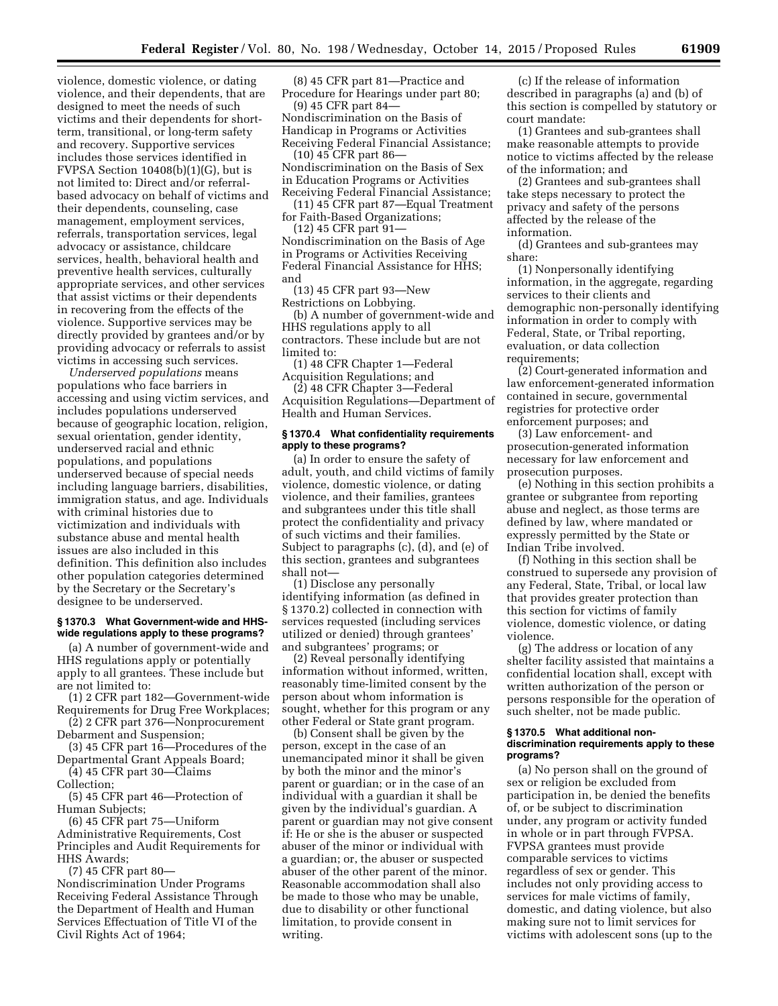violence, domestic violence, or dating violence, and their dependents, that are designed to meet the needs of such victims and their dependents for shortterm, transitional, or long-term safety and recovery. Supportive services includes those services identified in FVPSA Section 10408(b)(1)(G), but is not limited to: Direct and/or referralbased advocacy on behalf of victims and their dependents, counseling, case management, employment services, referrals, transportation services, legal advocacy or assistance, childcare services, health, behavioral health and preventive health services, culturally appropriate services, and other services that assist victims or their dependents in recovering from the effects of the violence. Supportive services may be directly provided by grantees and/or by providing advocacy or referrals to assist victims in accessing such services.

*Underserved populations* means populations who face barriers in accessing and using victim services, and includes populations underserved because of geographic location, religion, sexual orientation, gender identity, underserved racial and ethnic populations, and populations underserved because of special needs including language barriers, disabilities, immigration status, and age. Individuals with criminal histories due to victimization and individuals with substance abuse and mental health issues are also included in this definition. This definition also includes other population categories determined by the Secretary or the Secretary's designee to be underserved.

#### **§ 1370.3 What Government-wide and HHSwide regulations apply to these programs?**

(a) A number of government-wide and HHS regulations apply or potentially apply to all grantees. These include but are not limited to:

(1) 2 CFR part 182—Government-wide Requirements for Drug Free Workplaces;

- (2) 2 CFR part 376—Nonprocurement Debarment and Suspension;
- (3) 45 CFR part 16—Procedures of the Departmental Grant Appeals Board;
- (4) 45 CFR part 30—Claims

Collection;

(5) 45 CFR part 46—Protection of Human Subjects;

(6) 45 CFR part 75—Uniform Administrative Requirements, Cost Principles and Audit Requirements for HHS Awards;

(7) 45 CFR part 80— Nondiscrimination Under Programs

Receiving Federal Assistance Through the Department of Health and Human Services Effectuation of Title VI of the Civil Rights Act of 1964;

(8) 45 CFR part 81—Practice and Procedure for Hearings under part 80; (9) 45 CFR part 84—

Nondiscrimination on the Basis of Handicap in Programs or Activities Receiving Federal Financial Assistance;

(10) 45 CFR part 86— Nondiscrimination on the Basis of Sex in Education Programs or Activities Receiving Federal Financial Assistance;

(11) 45 CFR part 87—Equal Treatment for Faith-Based Organizations;

(12) 45 CFR part 91— Nondiscrimination on the Basis of Age in Programs or Activities Receiving Federal Financial Assistance for HHS; and

(13) 45 CFR part 93—New Restrictions on Lobbying.

(b) A number of government-wide and HHS regulations apply to all contractors. These include but are not limited to:

(1) 48 CFR Chapter 1—Federal Acquisition Regulations; and

(2) 48 CFR Chapter 3—Federal Acquisition Regulations—Department of Health and Human Services.

## **§ 1370.4 What confidentiality requirements apply to these programs?**

(a) In order to ensure the safety of adult, youth, and child victims of family violence, domestic violence, or dating violence, and their families, grantees and subgrantees under this title shall protect the confidentiality and privacy of such victims and their families. Subject to paragraphs (c), (d), and (e) of this section, grantees and subgrantees shall not—

(1) Disclose any personally identifying information (as defined in § 1370.2) collected in connection with services requested (including services utilized or denied) through grantees' and subgrantees' programs; or

(2) Reveal personally identifying information without informed, written, reasonably time-limited consent by the person about whom information is sought, whether for this program or any other Federal or State grant program.

(b) Consent shall be given by the person, except in the case of an unemancipated minor it shall be given by both the minor and the minor's parent or guardian; or in the case of an individual with a guardian it shall be given by the individual's guardian. A parent or guardian may not give consent if: He or she is the abuser or suspected abuser of the minor or individual with a guardian; or, the abuser or suspected abuser of the other parent of the minor. Reasonable accommodation shall also be made to those who may be unable, due to disability or other functional limitation, to provide consent in writing.

(c) If the release of information described in paragraphs (a) and (b) of this section is compelled by statutory or court mandate:

(1) Grantees and sub-grantees shall make reasonable attempts to provide notice to victims affected by the release of the information; and

(2) Grantees and sub-grantees shall take steps necessary to protect the privacy and safety of the persons affected by the release of the information.

(d) Grantees and sub-grantees may share:

(1) Nonpersonally identifying information, in the aggregate, regarding services to their clients and demographic non-personally identifying information in order to comply with Federal, State, or Tribal reporting, evaluation, or data collection requirements;

(2) Court-generated information and law enforcement-generated information contained in secure, governmental registries for protective order enforcement purposes; and

(3) Law enforcement- and prosecution-generated information necessary for law enforcement and prosecution purposes.

(e) Nothing in this section prohibits a grantee or subgrantee from reporting abuse and neglect, as those terms are defined by law, where mandated or expressly permitted by the State or Indian Tribe involved.

(f) Nothing in this section shall be construed to supersede any provision of any Federal, State, Tribal, or local law that provides greater protection than this section for victims of family violence, domestic violence, or dating violence.

(g) The address or location of any shelter facility assisted that maintains a confidential location shall, except with written authorization of the person or persons responsible for the operation of such shelter, not be made public.

#### **§ 1370.5 What additional nondiscrimination requirements apply to these programs?**

(a) No person shall on the ground of sex or religion be excluded from participation in, be denied the benefits of, or be subject to discrimination under, any program or activity funded in whole or in part through FVPSA. FVPSA grantees must provide comparable services to victims regardless of sex or gender. This includes not only providing access to services for male victims of family, domestic, and dating violence, but also making sure not to limit services for victims with adolescent sons (up to the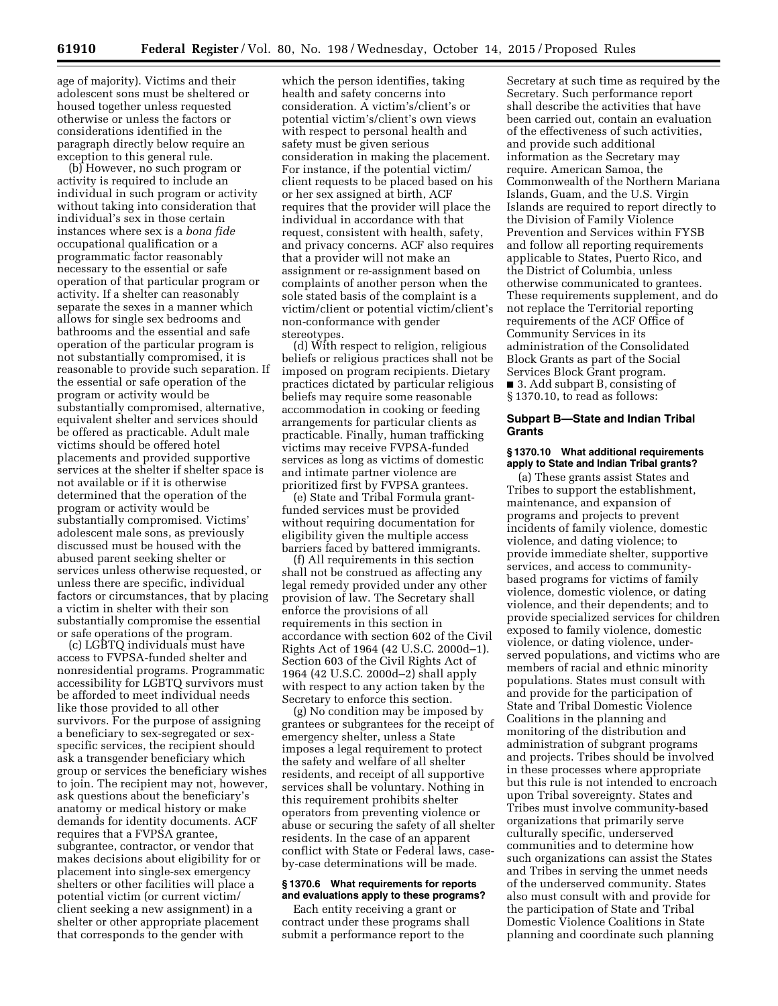age of majority). Victims and their adolescent sons must be sheltered or housed together unless requested otherwise or unless the factors or considerations identified in the paragraph directly below require an exception to this general rule.

(b) However, no such program or activity is required to include an individual in such program or activity without taking into consideration that individual's sex in those certain instances where sex is a *bona fide*  occupational qualification or a programmatic factor reasonably necessary to the essential or safe operation of that particular program or activity. If a shelter can reasonably separate the sexes in a manner which allows for single sex bedrooms and bathrooms and the essential and safe operation of the particular program is not substantially compromised, it is reasonable to provide such separation. If the essential or safe operation of the program or activity would be substantially compromised, alternative, equivalent shelter and services should be offered as practicable. Adult male victims should be offered hotel placements and provided supportive services at the shelter if shelter space is not available or if it is otherwise determined that the operation of the program or activity would be substantially compromised. Victims' adolescent male sons, as previously discussed must be housed with the abused parent seeking shelter or services unless otherwise requested, or unless there are specific, individual factors or circumstances, that by placing a victim in shelter with their son substantially compromise the essential or safe operations of the program.

(c) LGBTQ individuals must have access to FVPSA-funded shelter and nonresidential programs. Programmatic accessibility for LGBTQ survivors must be afforded to meet individual needs like those provided to all other survivors. For the purpose of assigning a beneficiary to sex-segregated or sexspecific services, the recipient should ask a transgender beneficiary which group or services the beneficiary wishes to join. The recipient may not, however, ask questions about the beneficiary's anatomy or medical history or make demands for identity documents. ACF requires that a FVPSA grantee, subgrantee, contractor, or vendor that makes decisions about eligibility for or placement into single-sex emergency shelters or other facilities will place a potential victim (or current victim/ client seeking a new assignment) in a shelter or other appropriate placement that corresponds to the gender with

which the person identifies, taking health and safety concerns into consideration. A victim's/client's or potential victim's/client's own views with respect to personal health and safety must be given serious consideration in making the placement. For instance, if the potential victim/ client requests to be placed based on his or her sex assigned at birth, ACF requires that the provider will place the individual in accordance with that request, consistent with health, safety, and privacy concerns. ACF also requires that a provider will not make an assignment or re-assignment based on complaints of another person when the sole stated basis of the complaint is a victim/client or potential victim/client's non-conformance with gender stereotypes.

(d) With respect to religion, religious beliefs or religious practices shall not be imposed on program recipients. Dietary practices dictated by particular religious beliefs may require some reasonable accommodation in cooking or feeding arrangements for particular clients as practicable. Finally, human trafficking victims may receive FVPSA-funded services as long as victims of domestic and intimate partner violence are prioritized first by FVPSA grantees.

(e) State and Tribal Formula grantfunded services must be provided without requiring documentation for eligibility given the multiple access barriers faced by battered immigrants.

(f) All requirements in this section shall not be construed as affecting any legal remedy provided under any other provision of law. The Secretary shall enforce the provisions of all requirements in this section in accordance with section 602 of the Civil Rights Act of 1964 (42 U.S.C. 2000d–1). Section 603 of the Civil Rights Act of 1964 (42 U.S.C. 2000d–2) shall apply with respect to any action taken by the Secretary to enforce this section.

(g) No condition may be imposed by grantees or subgrantees for the receipt of emergency shelter, unless a State imposes a legal requirement to protect the safety and welfare of all shelter residents, and receipt of all supportive services shall be voluntary. Nothing in this requirement prohibits shelter operators from preventing violence or abuse or securing the safety of all shelter residents. In the case of an apparent conflict with State or Federal laws, caseby-case determinations will be made.

### **§ 1370.6 What requirements for reports and evaluations apply to these programs?**

Each entity receiving a grant or contract under these programs shall submit a performance report to the

Secretary at such time as required by the Secretary. Such performance report shall describe the activities that have been carried out, contain an evaluation of the effectiveness of such activities, and provide such additional information as the Secretary may require. American Samoa, the Commonwealth of the Northern Mariana Islands, Guam, and the U.S. Virgin Islands are required to report directly to the Division of Family Violence Prevention and Services within FYSB and follow all reporting requirements applicable to States, Puerto Rico, and the District of Columbia, unless otherwise communicated to grantees. These requirements supplement, and do not replace the Territorial reporting requirements of the ACF Office of Community Services in its administration of the Consolidated Block Grants as part of the Social Services Block Grant program. ■ 3. Add subpart B, consisting of § 1370.10, to read as follows:

## **Subpart B—State and Indian Tribal Grants**

### **§ 1370.10 What additional requirements apply to State and Indian Tribal grants?**

(a) These grants assist States and Tribes to support the establishment, maintenance, and expansion of programs and projects to prevent incidents of family violence, domestic violence, and dating violence; to provide immediate shelter, supportive services, and access to communitybased programs for victims of family violence, domestic violence, or dating violence, and their dependents; and to provide specialized services for children exposed to family violence, domestic violence, or dating violence, underserved populations, and victims who are members of racial and ethnic minority populations. States must consult with and provide for the participation of State and Tribal Domestic Violence Coalitions in the planning and monitoring of the distribution and administration of subgrant programs and projects. Tribes should be involved in these processes where appropriate but this rule is not intended to encroach upon Tribal sovereignty. States and Tribes must involve community-based organizations that primarily serve culturally specific, underserved communities and to determine how such organizations can assist the States and Tribes in serving the unmet needs of the underserved community. States also must consult with and provide for the participation of State and Tribal Domestic Violence Coalitions in State planning and coordinate such planning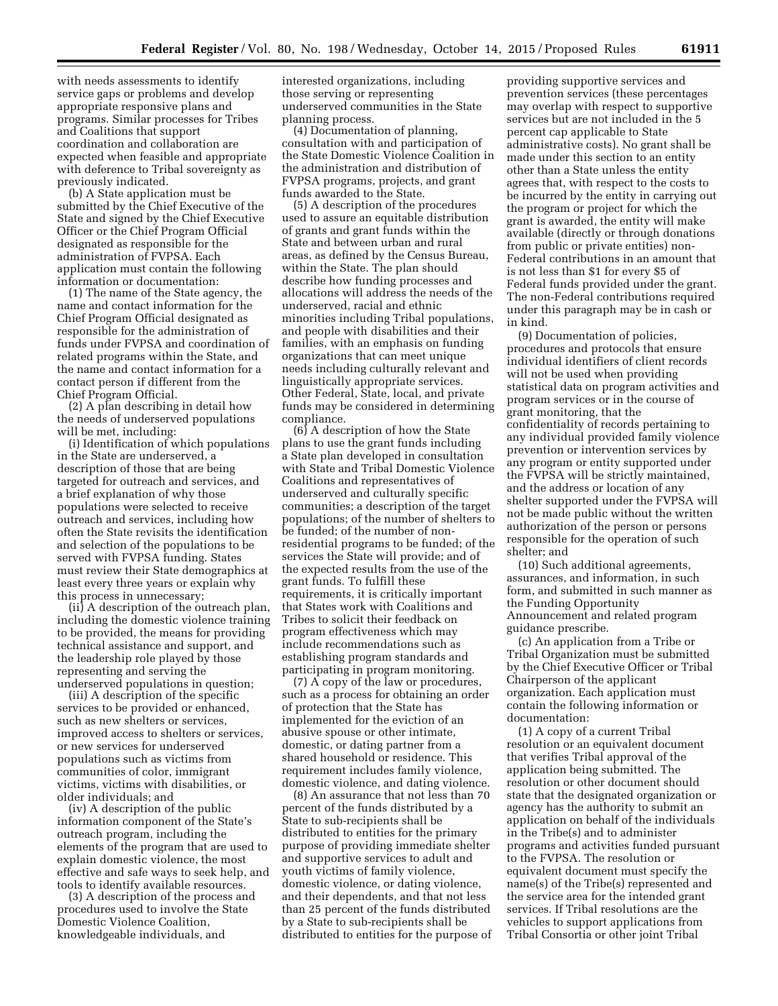with needs assessments to identify service gaps or problems and develop appropriate responsive plans and programs. Similar processes for Tribes and Coalitions that support coordination and collaboration are expected when feasible and appropriate with deference to Tribal sovereignty as previously indicated.

(b) A State application must be submitted by the Chief Executive of the State and signed by the Chief Executive Officer or the Chief Program Official designated as responsible for the administration of FVPSA. Each application must contain the following information or documentation:

(1) The name of the State agency, the name and contact information for the Chief Program Official designated as responsible for the administration of funds under FVPSA and coordination of related programs within the State, and the name and contact information for a contact person if different from the Chief Program Official.

(2) A plan describing in detail how the needs of underserved populations will be met, including:

(i) Identification of which populations in the State are underserved, a description of those that are being targeted for outreach and services, and a brief explanation of why those populations were selected to receive outreach and services, including how often the State revisits the identification and selection of the populations to be served with FVPSA funding. States must review their State demographics at least every three years or explain why this process in unnecessary;

(ii) A description of the outreach plan, including the domestic violence training to be provided, the means for providing technical assistance and support, and the leadership role played by those representing and serving the underserved populations in question;

(iii) A description of the specific services to be provided or enhanced, such as new shelters or services, improved access to shelters or services, or new services for underserved populations such as victims from communities of color, immigrant victims, victims with disabilities, or older individuals; and

(iv) A description of the public information component of the State's outreach program, including the elements of the program that are used to explain domestic violence, the most effective and safe ways to seek help, and tools to identify available resources.

(3) A description of the process and procedures used to involve the State Domestic Violence Coalition, knowledgeable individuals, and

interested organizations, including those serving or representing underserved communities in the State planning process.

(4) Documentation of planning, consultation with and participation of the State Domestic Violence Coalition in the administration and distribution of FVPSA programs, projects, and grant funds awarded to the State.

(5) A description of the procedures used to assure an equitable distribution of grants and grant funds within the State and between urban and rural areas, as defined by the Census Bureau, within the State. The plan should describe how funding processes and allocations will address the needs of the underserved, racial and ethnic minorities including Tribal populations, and people with disabilities and their families, with an emphasis on funding organizations that can meet unique needs including culturally relevant and linguistically appropriate services. Other Federal, State, local, and private funds may be considered in determining compliance.

(6) A description of how the State plans to use the grant funds including a State plan developed in consultation with State and Tribal Domestic Violence Coalitions and representatives of underserved and culturally specific communities; a description of the target populations; of the number of shelters to be funded; of the number of nonresidential programs to be funded; of the services the State will provide; and of the expected results from the use of the grant funds. To fulfill these requirements, it is critically important that States work with Coalitions and Tribes to solicit their feedback on program effectiveness which may include recommendations such as establishing program standards and participating in program monitoring.

(7) A copy of the law or procedures, such as a process for obtaining an order of protection that the State has implemented for the eviction of an abusive spouse or other intimate, domestic, or dating partner from a shared household or residence. This requirement includes family violence, domestic violence, and dating violence.

(8) An assurance that not less than 70 percent of the funds distributed by a State to sub-recipients shall be distributed to entities for the primary purpose of providing immediate shelter and supportive services to adult and youth victims of family violence, domestic violence, or dating violence, and their dependents, and that not less than 25 percent of the funds distributed by a State to sub-recipients shall be distributed to entities for the purpose of

providing supportive services and prevention services (these percentages may overlap with respect to supportive services but are not included in the 5 percent cap applicable to State administrative costs). No grant shall be made under this section to an entity other than a State unless the entity agrees that, with respect to the costs to be incurred by the entity in carrying out the program or project for which the grant is awarded, the entity will make available (directly or through donations from public or private entities) non-Federal contributions in an amount that is not less than \$1 for every \$5 of Federal funds provided under the grant. The non-Federal contributions required under this paragraph may be in cash or in kind.

(9) Documentation of policies, procedures and protocols that ensure individual identifiers of client records will not be used when providing statistical data on program activities and program services or in the course of grant monitoring, that the confidentiality of records pertaining to any individual provided family violence prevention or intervention services by any program or entity supported under the FVPSA will be strictly maintained, and the address or location of any shelter supported under the FVPSA will not be made public without the written authorization of the person or persons responsible for the operation of such shelter; and

(10) Such additional agreements, assurances, and information, in such form, and submitted in such manner as the Funding Opportunity Announcement and related program guidance prescribe.

(c) An application from a Tribe or Tribal Organization must be submitted by the Chief Executive Officer or Tribal Chairperson of the applicant organization. Each application must contain the following information or documentation:

(1) A copy of a current Tribal resolution or an equivalent document that verifies Tribal approval of the application being submitted. The resolution or other document should state that the designated organization or agency has the authority to submit an application on behalf of the individuals in the Tribe(s) and to administer programs and activities funded pursuant to the FVPSA. The resolution or equivalent document must specify the name(s) of the Tribe(s) represented and the service area for the intended grant services. If Tribal resolutions are the vehicles to support applications from Tribal Consortia or other joint Tribal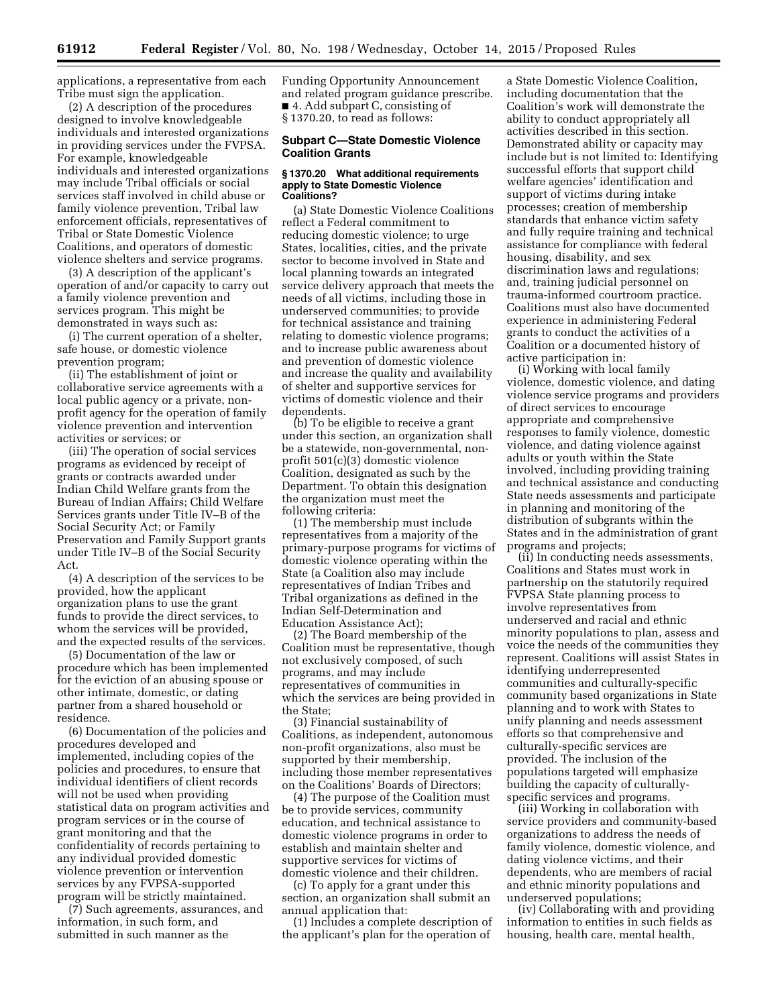applications, a representative from each Tribe must sign the application.

(2) A description of the procedures designed to involve knowledgeable individuals and interested organizations in providing services under the FVPSA. For example, knowledgeable individuals and interested organizations may include Tribal officials or social services staff involved in child abuse or family violence prevention, Tribal law enforcement officials, representatives of Tribal or State Domestic Violence Coalitions, and operators of domestic violence shelters and service programs.

(3) A description of the applicant's operation of and/or capacity to carry out a family violence prevention and services program. This might be demonstrated in ways such as:

(i) The current operation of a shelter, safe house, or domestic violence prevention program;

(ii) The establishment of joint or collaborative service agreements with a local public agency or a private, nonprofit agency for the operation of family violence prevention and intervention activities or services; or

(iii) The operation of social services programs as evidenced by receipt of grants or contracts awarded under Indian Child Welfare grants from the Bureau of Indian Affairs; Child Welfare Services grants under Title IV–B of the Social Security Act; or Family Preservation and Family Support grants under Title IV–B of the Social Security Act.

(4) A description of the services to be provided, how the applicant organization plans to use the grant funds to provide the direct services, to whom the services will be provided, and the expected results of the services.

(5) Documentation of the law or procedure which has been implemented for the eviction of an abusing spouse or other intimate, domestic, or dating partner from a shared household or residence.

(6) Documentation of the policies and procedures developed and implemented, including copies of the policies and procedures, to ensure that individual identifiers of client records will not be used when providing statistical data on program activities and program services or in the course of grant monitoring and that the confidentiality of records pertaining to any individual provided domestic violence prevention or intervention services by any FVPSA-supported program will be strictly maintained.

(7) Such agreements, assurances, and information, in such form, and submitted in such manner as the

Funding Opportunity Announcement and related program guidance prescribe. ■ 4. Add subpart C, consisting of § 1370.20, to read as follows:

## **Subpart C—State Domestic Violence Coalition Grants**

#### **§ 1370.20 What additional requirements apply to State Domestic Violence Coalitions?**

(a) State Domestic Violence Coalitions reflect a Federal commitment to reducing domestic violence; to urge States, localities, cities, and the private sector to become involved in State and local planning towards an integrated service delivery approach that meets the needs of all victims, including those in underserved communities; to provide for technical assistance and training relating to domestic violence programs; and to increase public awareness about and prevention of domestic violence and increase the quality and availability of shelter and supportive services for victims of domestic violence and their dependents.

(b) To be eligible to receive a grant under this section, an organization shall be a statewide, non-governmental, nonprofit 501(c)(3) domestic violence Coalition, designated as such by the Department. To obtain this designation the organization must meet the following criteria:

(1) The membership must include representatives from a majority of the primary-purpose programs for victims of domestic violence operating within the State (a Coalition also may include representatives of Indian Tribes and Tribal organizations as defined in the Indian Self-Determination and Education Assistance Act);

(2) The Board membership of the Coalition must be representative, though not exclusively composed, of such programs, and may include representatives of communities in which the services are being provided in the State;

(3) Financial sustainability of Coalitions, as independent, autonomous non-profit organizations, also must be supported by their membership, including those member representatives on the Coalitions' Boards of Directors;

(4) The purpose of the Coalition must be to provide services, community education, and technical assistance to domestic violence programs in order to establish and maintain shelter and supportive services for victims of domestic violence and their children.

(c) To apply for a grant under this section, an organization shall submit an annual application that:

(1) Includes a complete description of the applicant's plan for the operation of

a State Domestic Violence Coalition, including documentation that the Coalition's work will demonstrate the ability to conduct appropriately all activities described in this section. Demonstrated ability or capacity may include but is not limited to: Identifying successful efforts that support child welfare agencies' identification and support of victims during intake processes; creation of membership standards that enhance victim safety and fully require training and technical assistance for compliance with federal housing, disability, and sex discrimination laws and regulations; and, training judicial personnel on trauma-informed courtroom practice. Coalitions must also have documented experience in administering Federal grants to conduct the activities of a Coalition or a documented history of active participation in:

(i) Working with local family violence, domestic violence, and dating violence service programs and providers of direct services to encourage appropriate and comprehensive responses to family violence, domestic violence, and dating violence against adults or youth within the State involved, including providing training and technical assistance and conducting State needs assessments and participate in planning and monitoring of the distribution of subgrants within the States and in the administration of grant programs and projects;

(ii) In conducting needs assessments, Coalitions and States must work in partnership on the statutorily required FVPSA State planning process to involve representatives from underserved and racial and ethnic minority populations to plan, assess and voice the needs of the communities they represent. Coalitions will assist States in identifying underrepresented communities and culturally-specific community based organizations in State planning and to work with States to unify planning and needs assessment efforts so that comprehensive and culturally-specific services are provided. The inclusion of the populations targeted will emphasize building the capacity of culturallyspecific services and programs.

(iii) Working in collaboration with service providers and community-based organizations to address the needs of family violence, domestic violence, and dating violence victims, and their dependents, who are members of racial and ethnic minority populations and underserved populations;

(iv) Collaborating with and providing information to entities in such fields as housing, health care, mental health,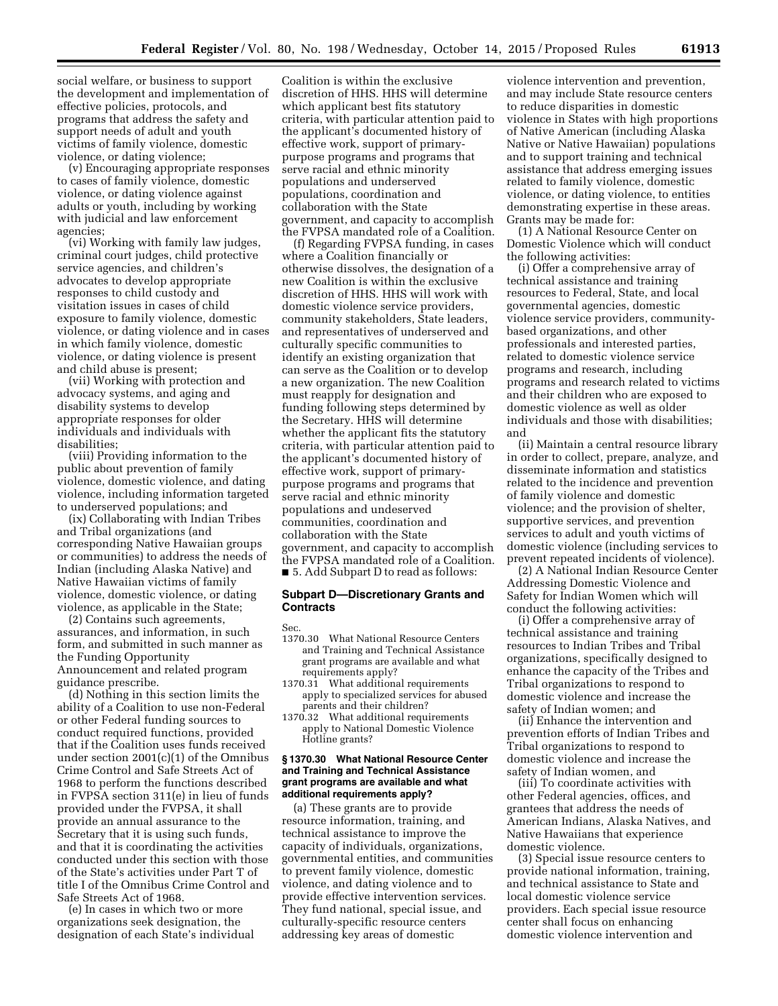social welfare, or business to support the development and implementation of effective policies, protocols, and programs that address the safety and support needs of adult and youth victims of family violence, domestic violence, or dating violence;

(v) Encouraging appropriate responses to cases of family violence, domestic violence, or dating violence against adults or youth, including by working with judicial and law enforcement agencies;

(vi) Working with family law judges, criminal court judges, child protective service agencies, and children's advocates to develop appropriate responses to child custody and visitation issues in cases of child exposure to family violence, domestic violence, or dating violence and in cases in which family violence, domestic violence, or dating violence is present and child abuse is present;

(vii) Working with protection and advocacy systems, and aging and disability systems to develop appropriate responses for older individuals and individuals with disabilities;

(viii) Providing information to the public about prevention of family violence, domestic violence, and dating violence, including information targeted to underserved populations; and

(ix) Collaborating with Indian Tribes and Tribal organizations (and corresponding Native Hawaiian groups or communities) to address the needs of Indian (including Alaska Native) and Native Hawaiian victims of family violence, domestic violence, or dating violence, as applicable in the State;

(2) Contains such agreements, assurances, and information, in such form, and submitted in such manner as the Funding Opportunity Announcement and related program guidance prescribe.

(d) Nothing in this section limits the ability of a Coalition to use non-Federal or other Federal funding sources to conduct required functions, provided that if the Coalition uses funds received under section 2001(c)(1) of the Omnibus Crime Control and Safe Streets Act of 1968 to perform the functions described in FVPSA section 311(e) in lieu of funds provided under the FVPSA, it shall provide an annual assurance to the Secretary that it is using such funds, and that it is coordinating the activities conducted under this section with those of the State's activities under Part T of title I of the Omnibus Crime Control and Safe Streets Act of 1968.

(e) In cases in which two or more organizations seek designation, the designation of each State's individual

Coalition is within the exclusive discretion of HHS. HHS will determine which applicant best fits statutory criteria, with particular attention paid to the applicant's documented history of effective work, support of primarypurpose programs and programs that serve racial and ethnic minority populations and underserved populations, coordination and collaboration with the State government, and capacity to accomplish the FVPSA mandated role of a Coalition.

(f) Regarding FVPSA funding, in cases where a Coalition financially or otherwise dissolves, the designation of a new Coalition is within the exclusive discretion of HHS. HHS will work with domestic violence service providers, community stakeholders, State leaders, and representatives of underserved and culturally specific communities to identify an existing organization that can serve as the Coalition or to develop a new organization. The new Coalition must reapply for designation and funding following steps determined by the Secretary. HHS will determine whether the applicant fits the statutory criteria, with particular attention paid to the applicant's documented history of effective work, support of primarypurpose programs and programs that serve racial and ethnic minority populations and undeserved communities, coordination and collaboration with the State government, and capacity to accomplish the FVPSA mandated role of a Coalition. ■ 5. Add Subpart D to read as follows:

### **Subpart D—Discretionary Grants and Contracts**

Sec.

- 1370.30 What National Resource Centers and Training and Technical Assistance grant programs are available and what requirements apply?
- 1370.31 What additional requirements apply to specialized services for abused parents and their children?
- 1370.32 What additional requirements apply to National Domestic Violence Hotline grants?

#### **§ 1370.30 What National Resource Center and Training and Technical Assistance grant programs are available and what additional requirements apply?**

(a) These grants are to provide resource information, training, and technical assistance to improve the capacity of individuals, organizations, governmental entities, and communities to prevent family violence, domestic violence, and dating violence and to provide effective intervention services. They fund national, special issue, and culturally-specific resource centers addressing key areas of domestic

violence intervention and prevention, and may include State resource centers to reduce disparities in domestic violence in States with high proportions of Native American (including Alaska Native or Native Hawaiian) populations and to support training and technical assistance that address emerging issues related to family violence, domestic violence, or dating violence, to entities demonstrating expertise in these areas. Grants may be made for:

(1) A National Resource Center on Domestic Violence which will conduct the following activities:

(i) Offer a comprehensive array of technical assistance and training resources to Federal, State, and local governmental agencies, domestic violence service providers, communitybased organizations, and other professionals and interested parties, related to domestic violence service programs and research, including programs and research related to victims and their children who are exposed to domestic violence as well as older individuals and those with disabilities; and

(ii) Maintain a central resource library in order to collect, prepare, analyze, and disseminate information and statistics related to the incidence and prevention of family violence and domestic violence; and the provision of shelter, supportive services, and prevention services to adult and youth victims of domestic violence (including services to prevent repeated incidents of violence).

(2) A National Indian Resource Center Addressing Domestic Violence and Safety for Indian Women which will conduct the following activities:

(i) Offer a comprehensive array of technical assistance and training resources to Indian Tribes and Tribal organizations, specifically designed to enhance the capacity of the Tribes and Tribal organizations to respond to domestic violence and increase the safety of Indian women; and

(ii) Enhance the intervention and prevention efforts of Indian Tribes and Tribal organizations to respond to domestic violence and increase the safety of Indian women, and

(iii) To coordinate activities with other Federal agencies, offices, and grantees that address the needs of American Indians, Alaska Natives, and Native Hawaiians that experience domestic violence.

(3) Special issue resource centers to provide national information, training, and technical assistance to State and local domestic violence service providers. Each special issue resource center shall focus on enhancing domestic violence intervention and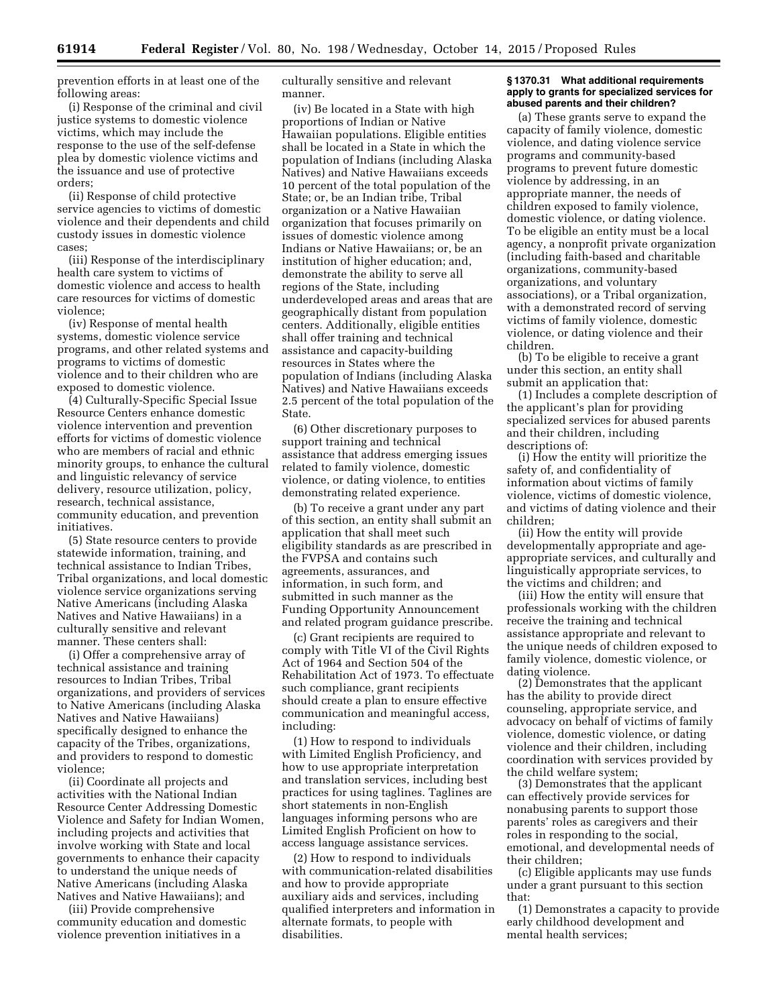prevention efforts in at least one of the following areas:

(i) Response of the criminal and civil justice systems to domestic violence victims, which may include the response to the use of the self-defense plea by domestic violence victims and the issuance and use of protective orders;

(ii) Response of child protective service agencies to victims of domestic violence and their dependents and child custody issues in domestic violence cases;

(iii) Response of the interdisciplinary health care system to victims of domestic violence and access to health care resources for victims of domestic violence;

(iv) Response of mental health systems, domestic violence service programs, and other related systems and programs to victims of domestic violence and to their children who are exposed to domestic violence.

(4) Culturally-Specific Special Issue Resource Centers enhance domestic violence intervention and prevention efforts for victims of domestic violence who are members of racial and ethnic minority groups, to enhance the cultural and linguistic relevancy of service delivery, resource utilization, policy, research, technical assistance, community education, and prevention initiatives.

(5) State resource centers to provide statewide information, training, and technical assistance to Indian Tribes, Tribal organizations, and local domestic violence service organizations serving Native Americans (including Alaska Natives and Native Hawaiians) in a culturally sensitive and relevant manner. These centers shall:

(i) Offer a comprehensive array of technical assistance and training resources to Indian Tribes, Tribal organizations, and providers of services to Native Americans (including Alaska Natives and Native Hawaiians) specifically designed to enhance the capacity of the Tribes, organizations, and providers to respond to domestic violence;

(ii) Coordinate all projects and activities with the National Indian Resource Center Addressing Domestic Violence and Safety for Indian Women, including projects and activities that involve working with State and local governments to enhance their capacity to understand the unique needs of Native Americans (including Alaska Natives and Native Hawaiians); and

(iii) Provide comprehensive community education and domestic violence prevention initiatives in a

culturally sensitive and relevant manner.

(iv) Be located in a State with high proportions of Indian or Native Hawaiian populations. Eligible entities shall be located in a State in which the population of Indians (including Alaska Natives) and Native Hawaiians exceeds 10 percent of the total population of the State; or, be an Indian tribe, Tribal organization or a Native Hawaiian organization that focuses primarily on issues of domestic violence among Indians or Native Hawaiians; or, be an institution of higher education; and, demonstrate the ability to serve all regions of the State, including underdeveloped areas and areas that are geographically distant from population centers. Additionally, eligible entities shall offer training and technical assistance and capacity-building resources in States where the population of Indians (including Alaska Natives) and Native Hawaiians exceeds 2.5 percent of the total population of the State.

(6) Other discretionary purposes to support training and technical assistance that address emerging issues related to family violence, domestic violence, or dating violence, to entities demonstrating related experience.

(b) To receive a grant under any part of this section, an entity shall submit an application that shall meet such eligibility standards as are prescribed in the FVPSA and contains such agreements, assurances, and information, in such form, and submitted in such manner as the Funding Opportunity Announcement and related program guidance prescribe.

(c) Grant recipients are required to comply with Title VI of the Civil Rights Act of 1964 and Section 504 of the Rehabilitation Act of 1973. To effectuate such compliance, grant recipients should create a plan to ensure effective communication and meaningful access, including:

(1) How to respond to individuals with Limited English Proficiency, and how to use appropriate interpretation and translation services, including best practices for using taglines. Taglines are short statements in non-English languages informing persons who are Limited English Proficient on how to access language assistance services.

(2) How to respond to individuals with communication-related disabilities and how to provide appropriate auxiliary aids and services, including qualified interpreters and information in alternate formats, to people with disabilities.

#### **§ 1370.31 What additional requirements apply to grants for specialized services for abused parents and their children?**

(a) These grants serve to expand the capacity of family violence, domestic violence, and dating violence service programs and community-based programs to prevent future domestic violence by addressing, in an appropriate manner, the needs of children exposed to family violence, domestic violence, or dating violence. To be eligible an entity must be a local agency, a nonprofit private organization (including faith-based and charitable organizations, community-based organizations, and voluntary associations), or a Tribal organization, with a demonstrated record of serving victims of family violence, domestic violence, or dating violence and their children.

(b) To be eligible to receive a grant under this section, an entity shall submit an application that:

(1) Includes a complete description of the applicant's plan for providing specialized services for abused parents and their children, including descriptions of:

(i) How the entity will prioritize the safety of, and confidentiality of information about victims of family violence, victims of domestic violence, and victims of dating violence and their children;

(ii) How the entity will provide developmentally appropriate and ageappropriate services, and culturally and linguistically appropriate services, to the victims and children; and

(iii) How the entity will ensure that professionals working with the children receive the training and technical assistance appropriate and relevant to the unique needs of children exposed to family violence, domestic violence, or dating violence.

(2) Demonstrates that the applicant has the ability to provide direct counseling, appropriate service, and advocacy on behalf of victims of family violence, domestic violence, or dating violence and their children, including coordination with services provided by the child welfare system;

(3) Demonstrates that the applicant can effectively provide services for nonabusing parents to support those parents' roles as caregivers and their roles in responding to the social, emotional, and developmental needs of their children;

(c) Eligible applicants may use funds under a grant pursuant to this section that:

(1) Demonstrates a capacity to provide early childhood development and mental health services;